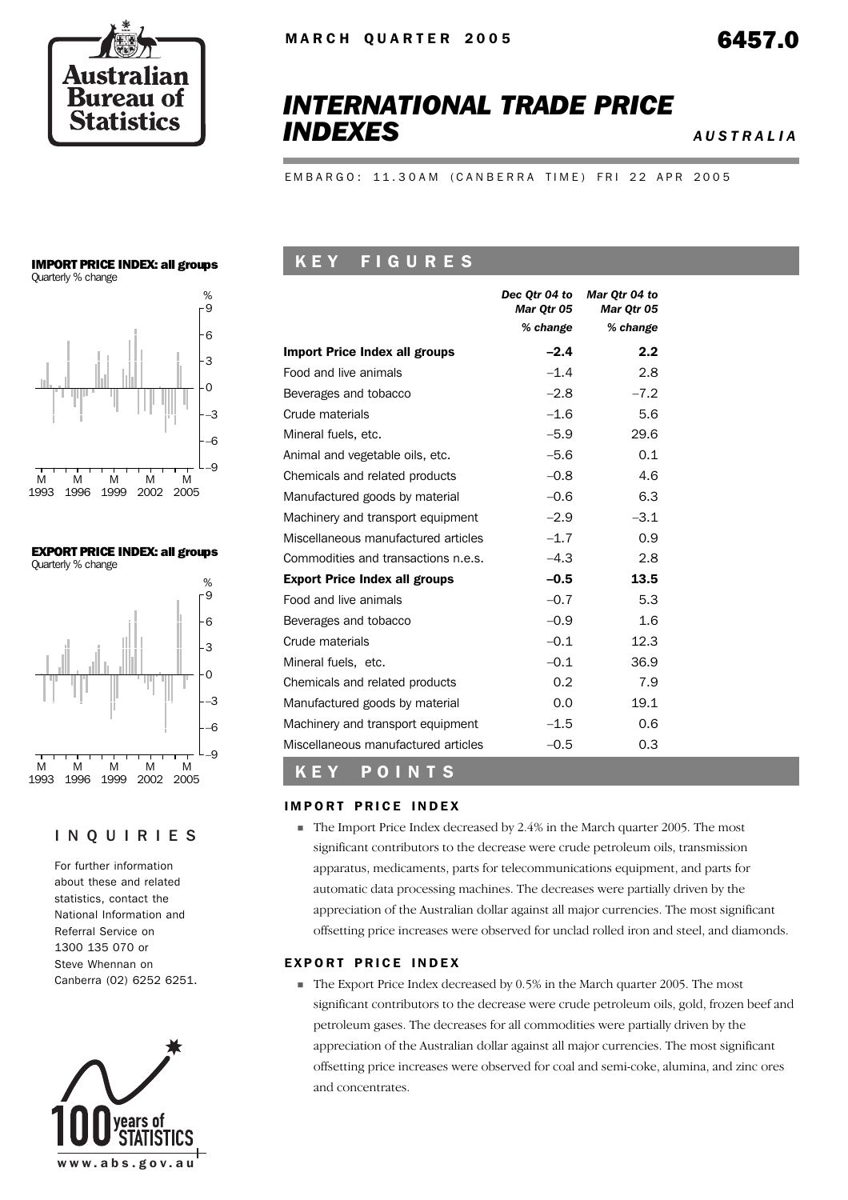

# *INTERNATIONAL TRADE PRICE INDEXES AUSTRALIA*

EMBARGO: 11.30AM (CANBERRA TIME) FRI 22 APR 2005

# IMPORT PRICE INDEX: all groups



EXPORT PRICE INDEX: all groups Quarterly % change



#### INQUIRIES

For further information about these and related statistics, contact the National Information and Referral Service on 1300 135 070 or Steve Whennan on Canberra (02) 6252 6251.



## K E Y F I G U R E S

|                                      | Dec Otr 04 to<br><b>Mar Otr 05</b> | Mar Otr 04 to<br>Mar Otr 05 |
|--------------------------------------|------------------------------------|-----------------------------|
|                                      | % change                           | % change                    |
| <b>Import Price Index all groups</b> | $-2.4$                             | 2.2                         |
| Food and live animals                | $-1.4$                             | 2.8                         |
| Beverages and tobacco                | $-2.8$                             | $-7.2$                      |
| Crude materials                      | $-1.6$                             | 5.6                         |
| Mineral fuels, etc.                  | $-5.9$                             | 29.6                        |
| Animal and vegetable oils, etc.      | $-5.6$                             | 0.1                         |
| Chemicals and related products       | $-0.8$                             | 4.6                         |
| Manufactured goods by material       | $-0.6$                             | 6.3                         |
| Machinery and transport equipment    | $-2.9$                             | $-3.1$                      |
| Miscellaneous manufactured articles  | $-1.7$                             | 0.9                         |
| Commodities and transactions n.e.s.  | $-4.3$                             | 2.8                         |
| <b>Export Price Index all groups</b> | $-0.5$                             | 13.5                        |
| Food and live animals                | $-0.7$                             | 5.3                         |
| Beverages and tobacco                | $-0.9$                             | 1.6                         |
| Crude materials                      | $-0.1$                             | 12.3                        |
| Mineral fuels, etc.                  | $-0.1$                             | 36.9                        |
| Chemicals and related products       | 0.2                                | 7.9                         |
| Manufactured goods by material       | 0.0                                | 19.1                        |
| Machinery and transport equipment    | $-1.5$                             | 0.6                         |
| Miscellaneous manufactured articles  | $-0.5$                             | 0.3                         |

# K E Y P O I N T S

#### **IMPORT PRICE INDEX**

! The Import Price Index decreased by 2.4% in the March quarter 2005. The most significant contributors to the decrease were crude petroleum oils, transmission apparatus, medicaments, parts for telecommunications equipment, and parts for automatic data processing machines. The decreases were partially driven by the appreciation of the Australian dollar against all major currencies. The most significant offsetting price increases were observed for unclad rolled iron and steel, and diamonds.

#### EXPORT PRICE INDEX

! The Export Price Index decreased by 0.5% in the March quarter 2005. The most significant contributors to the decrease were crude petroleum oils, gold, frozen beef and petroleum gases. The decreases for all commodities were partially driven by the appreciation of the Australian dollar against all major currencies. The most significant offsetting price increases were observed for coal and semi-coke, alumina, and zinc ores and concentrates.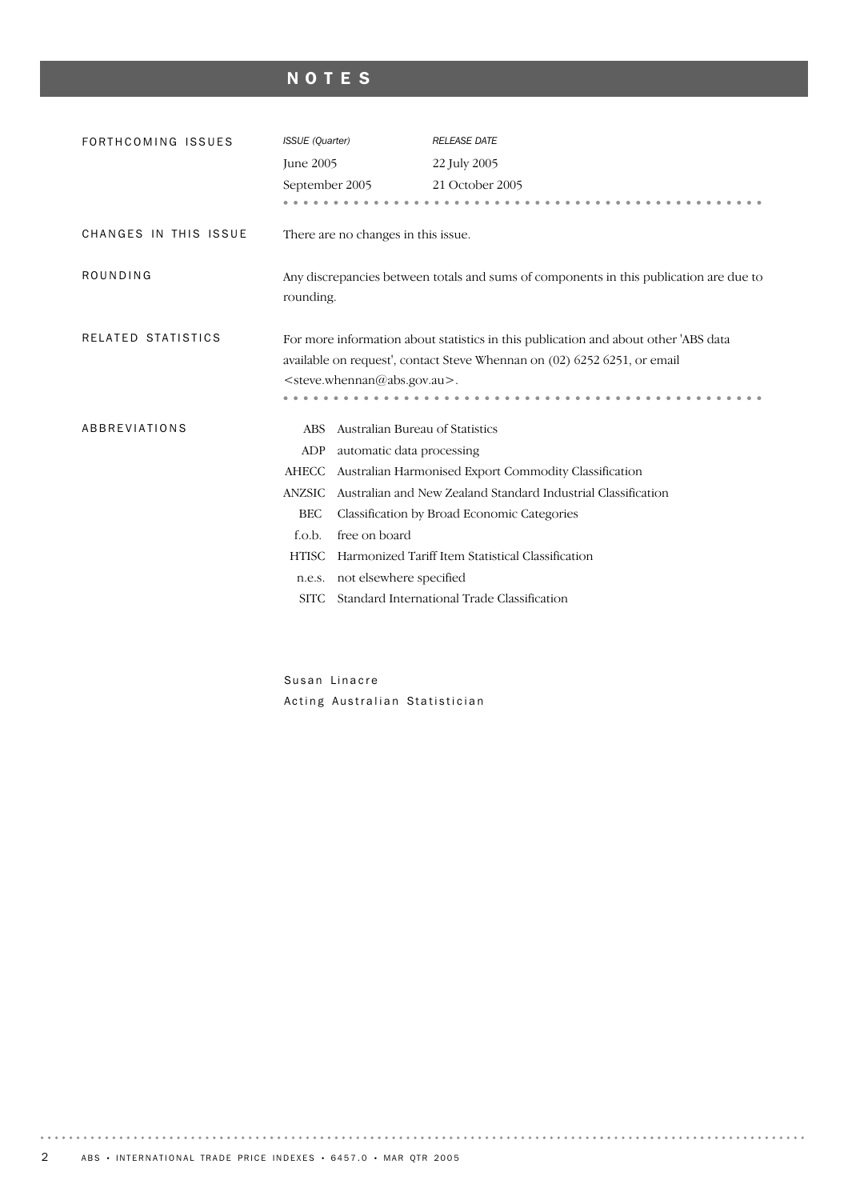# NOTES

| FORTHCOMING ISSUES    | ISSUE (Quarter)                                                                                                                                                                                                           |                                     | <b>RELEASE DATE</b>                                           |  |  |
|-----------------------|---------------------------------------------------------------------------------------------------------------------------------------------------------------------------------------------------------------------------|-------------------------------------|---------------------------------------------------------------|--|--|
|                       | <b>June 2005</b>                                                                                                                                                                                                          |                                     | 22 July 2005                                                  |  |  |
|                       | September 2005                                                                                                                                                                                                            |                                     | 21 October 2005                                               |  |  |
|                       |                                                                                                                                                                                                                           |                                     |                                                               |  |  |
| CHANGES IN THIS ISSUE |                                                                                                                                                                                                                           | There are no changes in this issue. |                                                               |  |  |
| ROUNDING              | Any discrepancies between totals and sums of components in this publication are due to<br>rounding.                                                                                                                       |                                     |                                                               |  |  |
| RELATED STATISTICS    | For more information about statistics in this publication and about other 'ABS data<br>available on request', contact Steve Whennan on (02) 6252 6251, or email<br><steve.whennan@abs.gov.au>.</steve.whennan@abs.gov.au> |                                     |                                                               |  |  |
| ABBREVIATIONS         | <b>ABS</b>                                                                                                                                                                                                                | Australian Bureau of Statistics     |                                                               |  |  |
|                       | ADP                                                                                                                                                                                                                       | automatic data processing           |                                                               |  |  |
|                       | <b>AHECC</b>                                                                                                                                                                                                              |                                     | Australian Harmonised Export Commodity Classification         |  |  |
|                       | <b>ANZSIC</b>                                                                                                                                                                                                             |                                     | Australian and New Zealand Standard Industrial Classification |  |  |
|                       | <b>BEC</b>                                                                                                                                                                                                                |                                     | Classification by Broad Economic Categories                   |  |  |
|                       | f.o.b.                                                                                                                                                                                                                    | free on board                       |                                                               |  |  |
|                       | <b>HTISC</b>                                                                                                                                                                                                              |                                     | Harmonized Tariff Item Statistical Classification             |  |  |
|                       | n.e.s.                                                                                                                                                                                                                    | not elsewhere specified             |                                                               |  |  |
|                       | <b>SITC</b>                                                                                                                                                                                                               |                                     | Standard International Trade Classification                   |  |  |
|                       |                                                                                                                                                                                                                           |                                     |                                                               |  |  |

Susan Linacre Acting Australian Statistician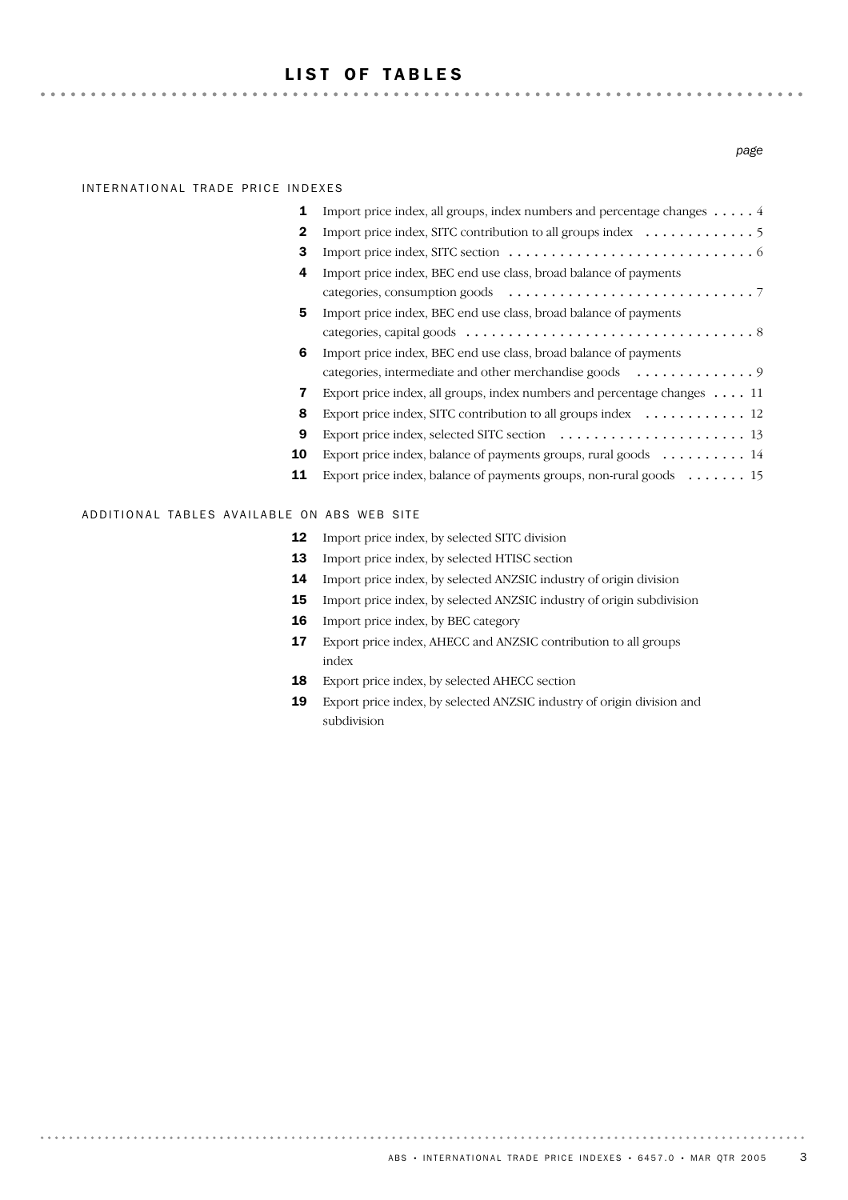#### LIST OF TABLES

#### INTERNATIONAL TRADE PRICE INDEXES

. . . . . . . .

. . . . . . . . . . . . . . . . . .

| Import price index, all groups, index numbers and percentage changes $\dots$ . 4                     |
|------------------------------------------------------------------------------------------------------|
| Import price index, SITC contribution to all groups index $\dots \dots \dots \dots$                  |
| Import price index, SITC section $\dots \dots \dots \dots \dots \dots \dots \dots \dots \dots \dots$ |
| Import price index, BEC end use class, broad balance of payments                                     |
|                                                                                                      |
| Import price index, BEC end use class, broad balance of payments                                     |
|                                                                                                      |
| Import price index, BEC end use class, broad balance of payments                                     |
| categories, intermediate and other merchandise goods 9                                               |
| Export price index, all groups, index numbers and percentage changes $\dots$ . 11                    |
| Export price index, SITC contribution to all groups index $\dots \dots \dots \dots$ 12               |
|                                                                                                      |
| Export price index, balance of payments groups, rural goods $\dots \dots \dots$ 14                   |
| Export price index, balance of payments groups, non-rural goods 15                                   |
|                                                                                                      |

#### ADDITIONAL TABLES AVAILABLE ON ABS WEB SITE

- 12 Import price index, by selected SITC division
- 13 Import price index, by selected HTISC section
- 14 Import price index, by selected ANZSIC industry of origin division
- 15 Import price index, by selected ANZSIC industry of origin subdivision
- 16 Import price index, by BEC category
- 17 Export price index, AHECC and ANZSIC contribution to all groups index
- 18 Export price index, by selected AHECC section
- 19 Export price index, by selected ANZSIC industry of origin division and subdivision

#### *page*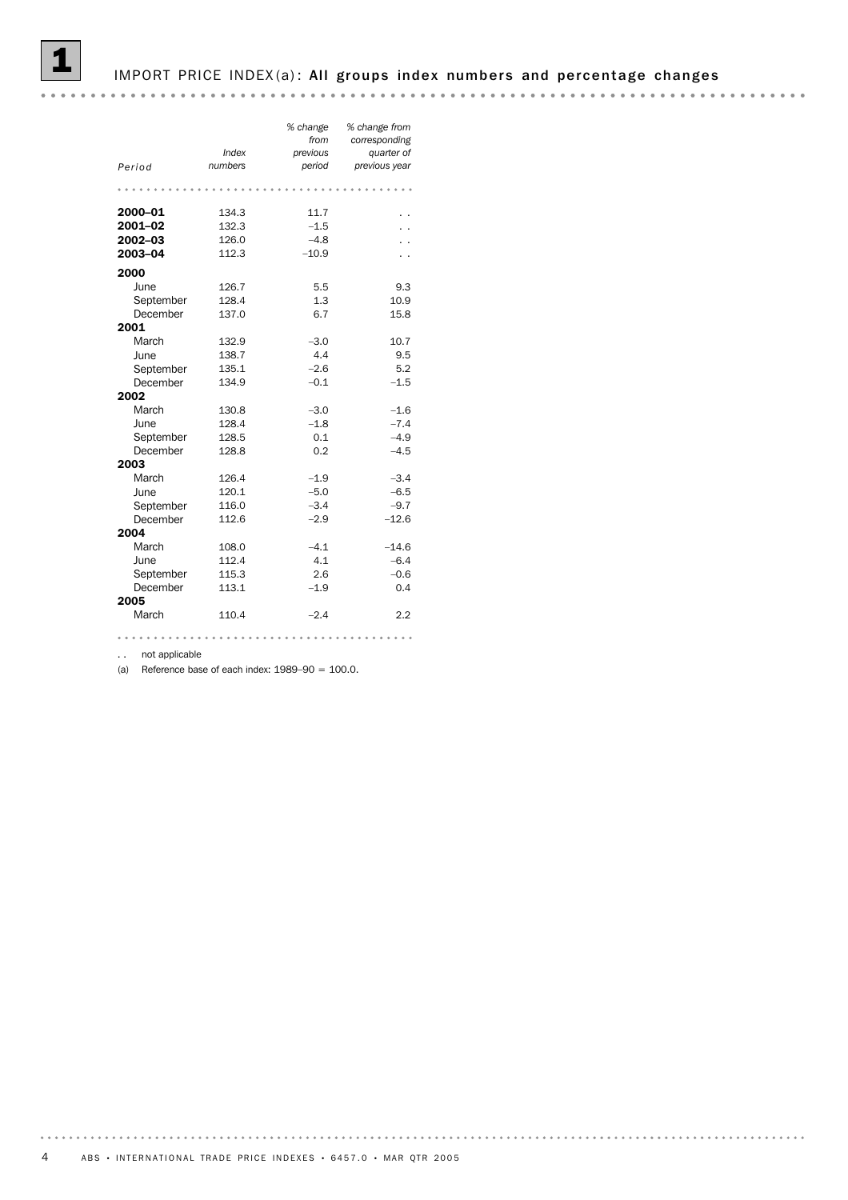#### IMPORT PRICE INDEX(a): All groups index numbers and percentage changes

| Period    | Index<br>numbers | % change<br>from<br>previous<br>period | % change from<br>corresponding<br>quarter of<br>previous year |
|-----------|------------------|----------------------------------------|---------------------------------------------------------------|
|           |                  |                                        |                                                               |
| 2000-01   | 134.3            | 11.7                                   |                                                               |
| 2001-02   | 132.3            | $-1.5$                                 |                                                               |
| 2002-03   | 126.0            | $-4.8$                                 |                                                               |
| 2003-04   | 112.3            | $-10.9$                                |                                                               |
| 2000      |                  |                                        |                                                               |
| June      | 126.7            | 5.5                                    | 9.3                                                           |
| September | 128.4            | 1.3                                    | 10.9                                                          |
| December  | 137.0            | 6.7                                    | 15.8                                                          |
| 2001      |                  |                                        |                                                               |
| March     | 132.9            | $-3.0$                                 | 10.7                                                          |
| June      | 138.7            | 4.4                                    | 9.5                                                           |
| September | 135.1            | $-2.6$                                 | 5.2                                                           |
| December  | 134.9            | $-0.1$                                 | $-1.5$                                                        |
| 2002      |                  |                                        |                                                               |
| March     | 130.8            | $-3.0$                                 | $-1.6$                                                        |
| June      | 128.4            | $-1.8$                                 | $-7.4$                                                        |
| September | 128.5            | 0.1                                    | $-4.9$                                                        |
| December  | 128.8            | 0.2                                    | $-4.5$                                                        |
| 2003      |                  |                                        |                                                               |
| March     | 126.4            | $-1.9$                                 | $-3.4$                                                        |
| June      | 120.1            | $-5.0$                                 | $-6.5$                                                        |
| September | 116.0            | $-3.4$                                 | $-9.7$                                                        |
| December  | 112.6            | $-2.9$                                 | $-12.6$                                                       |
| 2004      |                  |                                        |                                                               |
| March     | 108.0            | $-4.1$                                 | $-14.6$                                                       |
| June      | 112.4            | 4.1                                    | $-6.4$                                                        |
| September | 115.3            | 2.6                                    | $-0.6$                                                        |
| December  | 113.1            | $-1.9$                                 | 0.4                                                           |
| 2005      |                  |                                        |                                                               |
| March     | 110.4            | $-2.4$                                 | 2.2                                                           |
|           |                  |                                        |                                                               |

.. not applicable

(a) Reference base of each index:  $1989-90 = 100.0$ .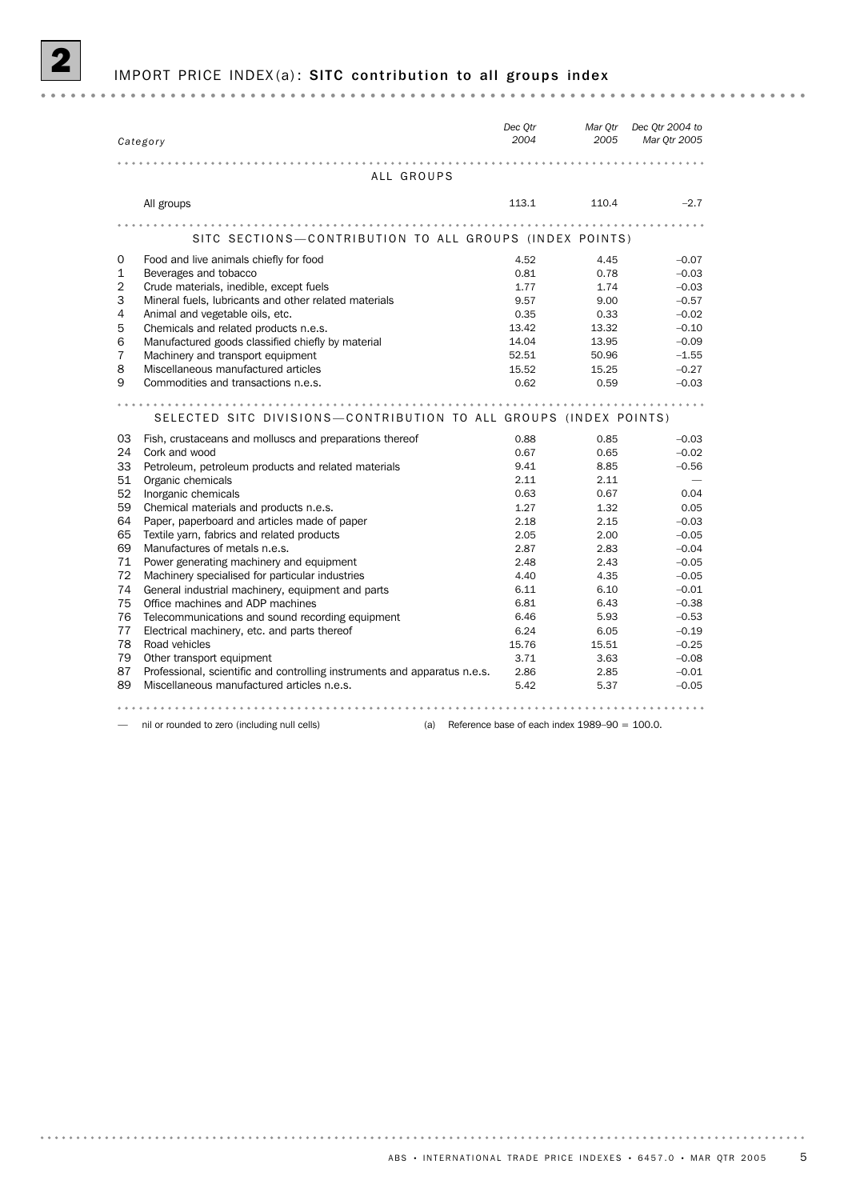# IMPORT PRICE INDEX(a): SITC contribution to all groups index

| Category                                                                        | Dec Qtr<br>2004                                         | Mar Qtr<br>2005 | Dec Qtr 2004 to<br>Mar 0tr 2005 |
|---------------------------------------------------------------------------------|---------------------------------------------------------|-----------------|---------------------------------|
|                                                                                 |                                                         |                 |                                 |
| ALL GROUPS                                                                      |                                                         |                 |                                 |
| All groups                                                                      | 113.1                                                   | 110.4           | $-2.7$                          |
|                                                                                 |                                                         | .               |                                 |
| SITC SECTIONS-CONTRIBUTION TO ALL GROUPS (INDEX POINTS)                         |                                                         |                 |                                 |
| Food and live animals chiefly for food<br>0                                     | 4.52                                                    | 4.45            | $-0.07$                         |
| $\mathbf{1}$<br>Beverages and tobacco                                           | 0.81                                                    | 0.78            | $-0.03$                         |
| $\overline{2}$<br>Crude materials, inedible, except fuels                       | 1.77                                                    | 1.74            | $-0.03$                         |
| 3<br>Mineral fuels, lubricants and other related materials                      | 9.57                                                    | 9.00            | $-0.57$                         |
| 4<br>Animal and vegetable oils, etc.                                            | 0.35                                                    | 0.33            | $-0.02$                         |
| 5<br>Chemicals and related products n.e.s.                                      | 13.42                                                   | 13.32           | $-0.10$                         |
| 6<br>Manufactured goods classified chiefly by material                          | 14.04                                                   | 13.95           | $-0.09$                         |
| 7<br>Machinery and transport equipment                                          | 52.51                                                   | 50.96           | $-1.55$                         |
| 8<br>Miscellaneous manufactured articles                                        | 15.52                                                   | 15.25           | $-0.27$                         |
| 9<br>Commodities and transactions n.e.s.                                        | 0.62                                                    | 0.59            | $-0.03$                         |
| SELECTED SITC DIVISIONS-CONTRIBUTION TO ALL GROUPS (INDEX POINTS)               |                                                         |                 |                                 |
| 03<br>Fish, crustaceans and molluscs and preparations thereof                   | 0.88                                                    | 0.85            | $-0.03$                         |
| 24<br>Cork and wood                                                             | 0.67                                                    | 0.65            | $-0.02$                         |
| 33<br>Petroleum, petroleum products and related materials                       | 9.41                                                    | 8.85            | $-0.56$                         |
| 51<br>Organic chemicals                                                         | 2.11                                                    | 2.11            |                                 |
| 52<br>Inorganic chemicals                                                       | 0.63                                                    | 0.67            | 0.04                            |
| 59<br>Chemical materials and products n.e.s.                                    | 1.27                                                    | 1.32            | 0.05                            |
| 64<br>Paper, paperboard and articles made of paper                              | 2.18                                                    | 2.15            | $-0.03$                         |
| 65<br>Textile yarn, fabrics and related products                                | 2.05                                                    | 2.00            | $-0.05$                         |
| 69<br>Manufactures of metals n.e.s.                                             | 2.87                                                    | 2.83            | $-0.04$                         |
| 71<br>Power generating machinery and equipment                                  | 2.48                                                    | 2.43            | $-0.05$                         |
| 72<br>Machinery specialised for particular industries                           | 4.40                                                    | 4.35            | $-0.05$                         |
| 74<br>General industrial machinery, equipment and parts                         | 6.11                                                    | 6.10            | $-0.01$                         |
| 75<br>Office machines and ADP machines                                          | 6.81                                                    | 6.43            | $-0.38$                         |
| 76<br>Telecommunications and sound recording equipment                          | 6.46                                                    | 5.93            | $-0.53$                         |
| 77<br>Electrical machinery, etc. and parts thereof                              | 6.24                                                    | 6.05            | $-0.19$                         |
| 78<br>Road vehicles                                                             | 15.76                                                   | 15.51           | $-0.25$                         |
| 79<br>Other transport equipment                                                 | 3.71                                                    | 3.63            | $-0.08$                         |
| 87<br>Professional, scientific and controlling instruments and apparatus n.e.s. | 2.86                                                    | 2.85            | $-0.01$                         |
| 89<br>Miscellaneous manufactured articles n.e.s.                                | 5.42                                                    | 5.37            | $-0.05$                         |
|                                                                                 |                                                         |                 |                                 |
| nil or rounded to zero (including null cells)                                   | Reference base of each index $1989-90 = 100.0$ .<br>(a) |                 |                                 |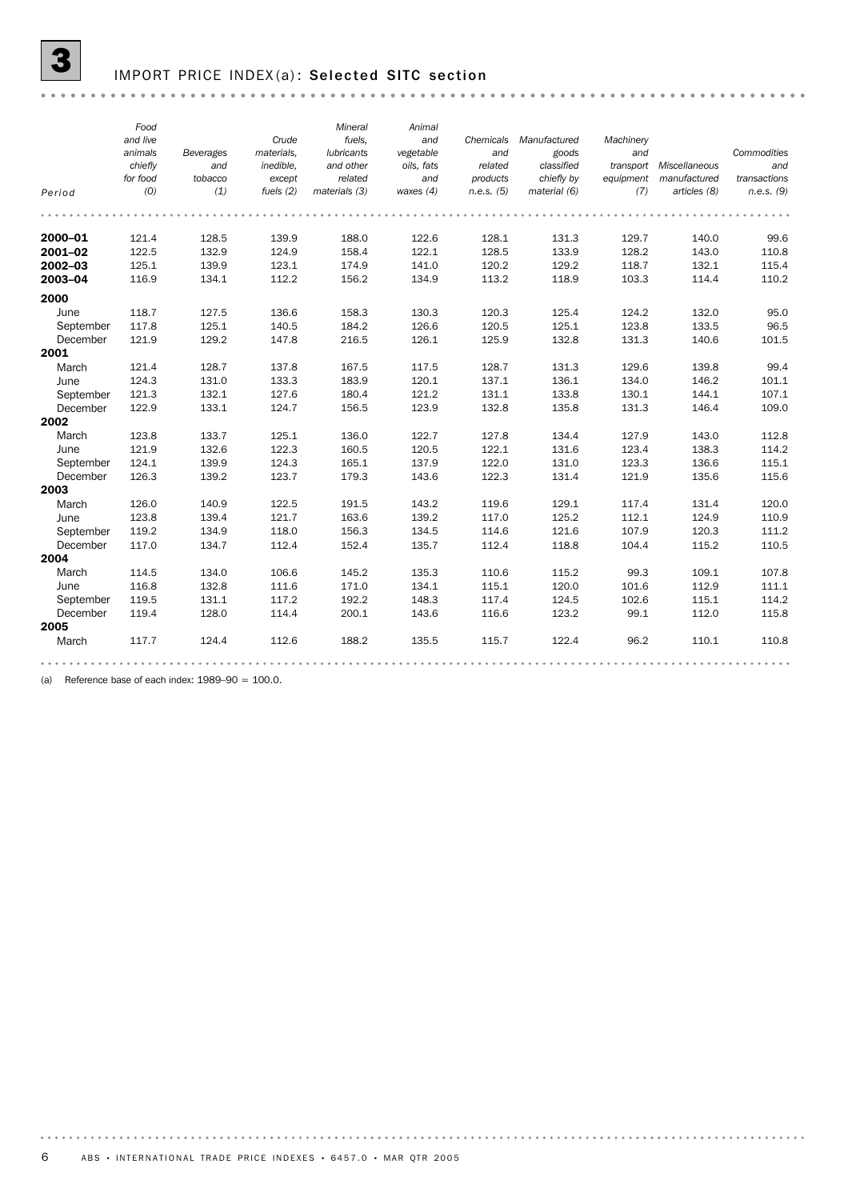### IMPORT PRICE INDEX(a): Selected SITC section

|           | Food     |           |             | Mineral           | Animal      |            |              |           |                         |              |
|-----------|----------|-----------|-------------|-------------------|-------------|------------|--------------|-----------|-------------------------|--------------|
|           | and live |           | Crude       | fuels,            | and         | Chemicals  | Manufactured | Machinery |                         |              |
|           | animals  | Beverages | materials.  | <b>lubricants</b> | vegetable   | and        | goods        | and       |                         | Commodities  |
|           | chiefly  | and       | inedible.   | and other         | oils, fats  | related    | classified   |           | transport Miscellaneous | and          |
|           | for food | tobacco   | except      | related           | and         | products   | chiefly by   | equipment | manufactured            | transactions |
| Period    | (0)      | (1)       | fuels $(2)$ | materials (3)     | waxes $(4)$ | n.e.s. (5) | material (6) | (7)       | articles (8)            | n.e.s. (9)   |
|           |          |           |             |                   |             |            |              |           |                         |              |
| 2000-01   | 121.4    | 128.5     | 139.9       | 188.0             | 122.6       | 128.1      | 131.3        | 129.7     | 140.0                   | 99.6         |
| 2001-02   | 122.5    | 132.9     | 124.9       | 158.4             | 122.1       | 128.5      | 133.9        | 128.2     | 143.0                   | 110.8        |
| 2002-03   | 125.1    | 139.9     | 123.1       | 174.9             | 141.0       | 120.2      | 129.2        | 118.7     | 132.1                   | 115.4        |
| 2003-04   | 116.9    | 134.1     | 112.2       | 156.2             | 134.9       | 113.2      | 118.9        | 103.3     | 114.4                   | 110.2        |
| 2000      |          |           |             |                   |             |            |              |           |                         |              |
| June      | 118.7    | 127.5     | 136.6       | 158.3             | 130.3       | 120.3      | 125.4        | 124.2     | 132.0                   | 95.0         |
| September | 117.8    | 125.1     | 140.5       | 184.2             | 126.6       | 120.5      | 125.1        | 123.8     | 133.5                   | 96.5         |
| December  | 121.9    | 129.2     | 147.8       | 216.5             | 126.1       | 125.9      | 132.8        | 131.3     | 140.6                   | 101.5        |
| 2001      |          |           |             |                   |             |            |              |           |                         |              |
| March     | 121.4    | 128.7     | 137.8       | 167.5             | 117.5       | 128.7      | 131.3        | 129.6     | 139.8                   | 99.4         |
| June      | 124.3    | 131.0     | 133.3       | 183.9             | 120.1       | 137.1      | 136.1        | 134.0     | 146.2                   | 101.1        |
| September | 121.3    | 132.1     | 127.6       | 180.4             | 121.2       | 131.1      | 133.8        | 130.1     | 144.1                   | 107.1        |
| December  | 122.9    | 133.1     | 124.7       | 156.5             | 123.9       | 132.8      | 135.8        | 131.3     | 146.4                   | 109.0        |
| 2002      |          |           |             |                   |             |            |              |           |                         |              |
| March     | 123.8    | 133.7     | 125.1       | 136.0             | 122.7       | 127.8      | 134.4        | 127.9     | 143.0                   | 112.8        |
| June      | 121.9    | 132.6     | 122.3       | 160.5             | 120.5       | 122.1      | 131.6        | 123.4     | 138.3                   | 114.2        |
| September | 124.1    | 139.9     | 124.3       | 165.1             | 137.9       | 122.0      | 131.0        | 123.3     | 136.6                   | 115.1        |
| December  | 126.3    | 139.2     | 123.7       | 179.3             | 143.6       | 122.3      | 131.4        | 121.9     | 135.6                   | 115.6        |
| 2003      |          |           |             |                   |             |            |              |           |                         |              |
| March     | 126.0    | 140.9     | 122.5       | 191.5             | 143.2       | 119.6      | 129.1        | 117.4     | 131.4                   | 120.0        |
| June      | 123.8    | 139.4     | 121.7       | 163.6             | 139.2       | 117.0      | 125.2        | 112.1     | 124.9                   | 110.9        |
| September | 119.2    | 134.9     | 118.0       | 156.3             | 134.5       | 114.6      | 121.6        | 107.9     | 120.3                   | 111.2        |
| December  | 117.0    | 134.7     | 112.4       | 152.4             | 135.7       | 112.4      | 118.8        | 104.4     | 115.2                   | 110.5        |
| 2004      |          |           |             |                   |             |            |              |           |                         |              |
| March     | 114.5    | 134.0     | 106.6       | 145.2             | 135.3       | 110.6      | 115.2        | 99.3      | 109.1                   | 107.8        |
| June      | 116.8    | 132.8     | 111.6       | 171.0             | 134.1       | 115.1      | 120.0        | 101.6     | 112.9                   | 111.1        |
| September | 119.5    | 131.1     | 117.2       | 192.2             | 148.3       | 117.4      | 124.5        | 102.6     | 115.1                   | 114.2        |
| December  | 119.4    | 128.0     | 114.4       | 200.1             | 143.6       | 116.6      | 123.2        | 99.1      | 112.0                   | 115.8        |
| 2005      |          |           |             |                   |             |            |              |           |                         |              |
| March     | 117.7    | 124.4     | 112.6       | 188.2             | 135.5       | 115.7      | 122.4        | 96.2      | 110.1                   | 110.8        |
|           |          |           |             |                   |             |            |              |           |                         |              |

(a) Reference base of each index:  $1989-90 = 100.0$ .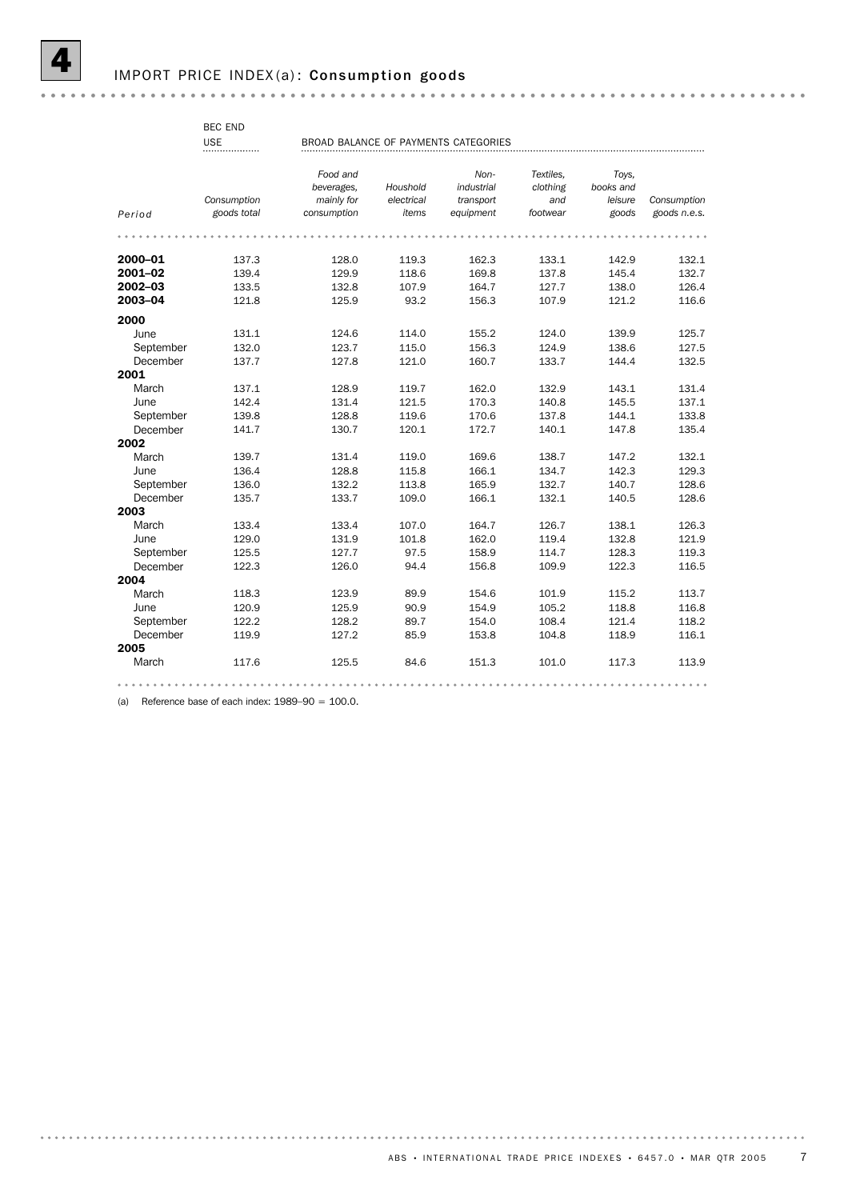BEC END

|           | <b>USE</b><br> | BROAD BALANCE OF PAYMENTS CATEGORIES |            |                    |                       |                    |              |
|-----------|----------------|--------------------------------------|------------|--------------------|-----------------------|--------------------|--------------|
|           |                | Food and<br>beverages,               | Houshold   | Non-<br>industrial | Textiles.<br>clothing | Toys,<br>books and |              |
|           | Consumption    | mainly for                           | electrical | transport          | and                   | leisure            | Consumption  |
| Period    | goods total    | consumption                          | items      | equipment          | footwear              | goods              | goods n.e.s. |
|           |                |                                      |            |                    |                       |                    |              |
| 2000-01   | 137.3          | 128.0                                | 119.3      | 162.3              | 133.1                 | 142.9              | 132.1        |
| 2001-02   | 139.4          | 129.9                                | 118.6      | 169.8              | 137.8                 | 145.4              | 132.7        |
| 2002-03   | 133.5          | 132.8                                | 107.9      | 164.7              | 127.7                 | 138.0              | 126.4        |
| 2003-04   | 121.8          | 125.9                                | 93.2       | 156.3              | 107.9                 | 121.2              | 116.6        |
| 2000      |                |                                      |            |                    |                       |                    |              |
| June      | 131.1          | 124.6                                | 114.0      | 155.2              | 124.0                 | 139.9              | 125.7        |
| September | 132.0          | 123.7                                | 115.0      | 156.3              | 124.9                 | 138.6              | 127.5        |
| December  | 137.7          | 127.8                                | 121.0      | 160.7              | 133.7                 | 144.4              | 132.5        |
| 2001      |                |                                      |            |                    |                       |                    |              |
| March     | 137.1          | 128.9                                | 119.7      | 162.0              | 132.9                 | 143.1              | 131.4        |
| June      | 142.4          | 131.4                                | 121.5      | 170.3              | 140.8                 | 145.5              | 137.1        |
| September | 139.8          | 128.8                                | 119.6      | 170.6              | 137.8                 | 144.1              | 133.8        |
| December  | 141.7          | 130.7                                | 120.1      | 172.7              | 140.1                 | 147.8              | 135.4        |
| 2002      |                |                                      |            |                    |                       |                    |              |
| March     | 139.7          | 131.4                                | 119.0      | 169.6              | 138.7                 | 147.2              | 132.1        |
| June      | 136.4          | 128.8                                | 115.8      | 166.1              | 134.7                 | 142.3              | 129.3        |
| September | 136.0          | 132.2                                | 113.8      | 165.9              | 132.7                 | 140.7              | 128.6        |
| December  | 135.7          | 133.7                                | 109.0      | 166.1              | 132.1                 | 140.5              | 128.6        |
| 2003      |                |                                      |            |                    |                       |                    |              |
| March     | 133.4          | 133.4                                | 107.0      | 164.7              | 126.7                 | 138.1              | 126.3        |
| June      | 129.0          | 131.9                                | 101.8      | 162.0              | 119.4                 | 132.8              | 121.9        |
| September | 125.5          | 127.7                                | 97.5       | 158.9              | 114.7                 | 128.3              | 119.3        |
| December  | 122.3          | 126.0                                | 94.4       | 156.8              | 109.9                 | 122.3              | 116.5        |
| 2004      |                |                                      |            |                    |                       |                    |              |
| March     | 118.3          | 123.9                                | 89.9       | 154.6              | 101.9                 | 115.2              | 113.7        |
| June      | 120.9          | 125.9                                | 90.9       | 154.9              | 105.2                 | 118.8              | 116.8        |
| September | 122.2          | 128.2                                | 89.7       | 154.0              | 108.4                 | 121.4              | 118.2        |
| December  | 119.9          | 127.2                                | 85.9       | 153.8              | 104.8                 | 118.9              | 116.1        |
| 2005      |                |                                      |            |                    |                       |                    |              |
| March     | 117.6          | 125.5                                | 84.6       | 151.3              | 101.0                 | 117.3              | 113.9        |
|           |                |                                      |            |                    |                       |                    |              |

(a) Reference base of each index:  $1989-90 = 100.0$ .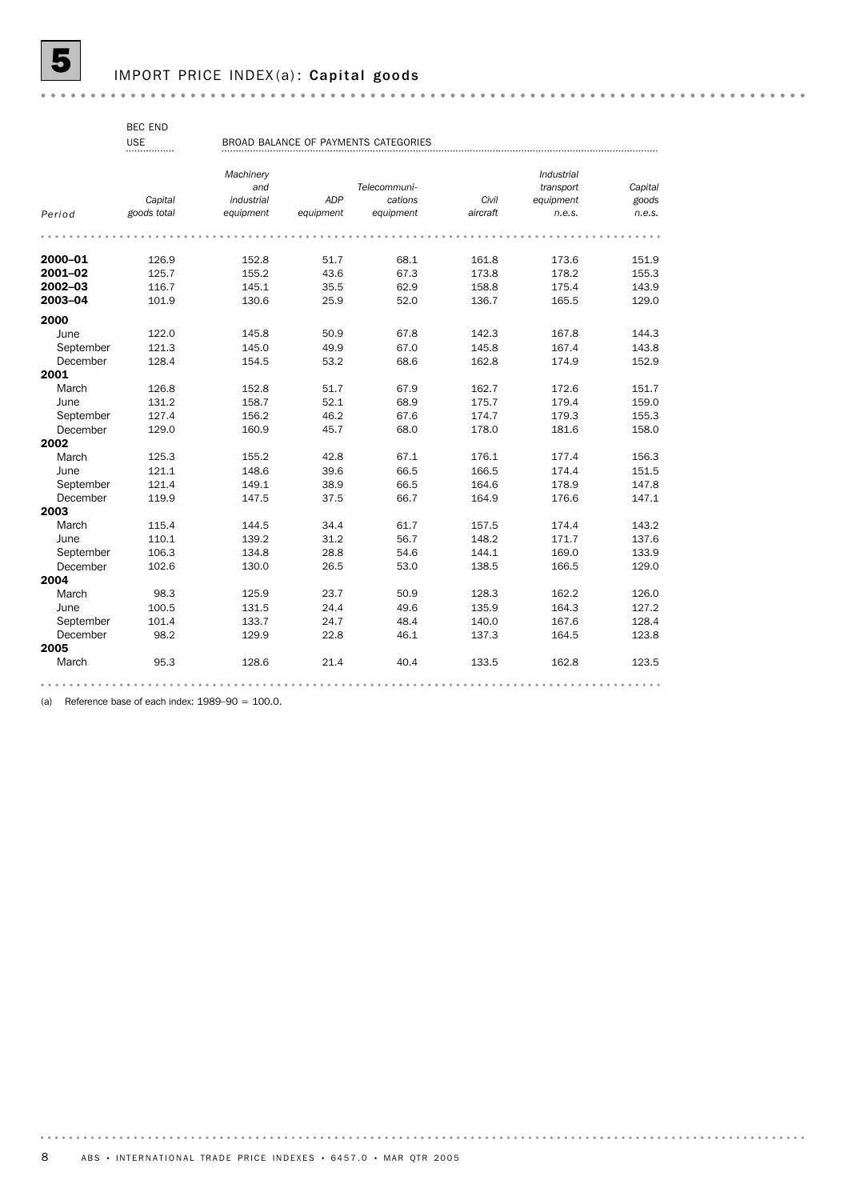### IMPORT PRICE INDEX(a): Capital goods

BEC END

#### BROAD BALANCE OF PAYMENTS CATEGORIES USE

|           |             | Machinery  |            |              |          | Industrial |         |
|-----------|-------------|------------|------------|--------------|----------|------------|---------|
|           |             | and        |            | Telecommuni- |          | transport  | Capital |
|           | Capital     | industrial | <b>ADP</b> | cations      | Civil    | equipment  | goods   |
| Period    | goods total | equipment  | equipment  | equipment    | aircraft | n.e.s.     | n.e.s.  |
|           |             |            |            |              |          |            |         |
| 2000-01   | 126.9       | 152.8      | 51.7       | 68.1         | 161.8    | 173.6      | 151.9   |
| 2001-02   | 125.7       | 155.2      | 43.6       | 67.3         | 173.8    | 178.2      | 155.3   |
| 2002-03   | 116.7       | 145.1      | 35.5       | 62.9         | 158.8    | 175.4      | 143.9   |
| 2003-04   | 101.9       | 130.6      | 25.9       | 52.0         | 136.7    | 165.5      | 129.0   |
| 2000      |             |            |            |              |          |            |         |
| June      | 122.0       | 145.8      | 50.9       | 67.8         | 142.3    | 167.8      | 144.3   |
| September | 121.3       | 145.0      | 49.9       | 67.0         | 145.8    | 167.4      | 143.8   |
| December  | 128.4       | 154.5      | 53.2       | 68.6         | 162.8    | 174.9      | 152.9   |
| 2001      |             |            |            |              |          |            |         |
| March     | 126.8       | 152.8      | 51.7       | 67.9         | 162.7    | 172.6      | 151.7   |
| June      | 131.2       | 158.7      | 52.1       | 68.9         | 175.7    | 179.4      | 159.0   |
| September | 127.4       | 156.2      | 46.2       | 67.6         | 174.7    | 179.3      | 155.3   |
| December  | 129.0       | 160.9      | 45.7       | 68.0         | 178.0    | 181.6      | 158.0   |
| 2002      |             |            |            |              |          |            |         |
| March     | 125.3       | 155.2      | 42.8       | 67.1         | 176.1    | 177.4      | 156.3   |
| June      | 121.1       | 148.6      | 39.6       | 66.5         | 166.5    | 174.4      | 151.5   |
| September | 121.4       | 149.1      | 38.9       | 66.5         | 164.6    | 178.9      | 147.8   |
| December  | 119.9       | 147.5      | 37.5       | 66.7         | 164.9    | 176.6      | 147.1   |
| 2003      |             |            |            |              |          |            |         |
| March     | 115.4       | 144.5      | 34.4       | 61.7         | 157.5    | 174.4      | 143.2   |
| June      | 110.1       | 139.2      | 31.2       | 56.7         | 148.2    | 171.7      | 137.6   |
| September | 106.3       | 134.8      | 28.8       | 54.6         | 144.1    | 169.0      | 133.9   |
| December  | 102.6       | 130.0      | 26.5       | 53.0         | 138.5    | 166.5      | 129.0   |
| 2004      |             |            |            |              |          |            |         |
| March     | 98.3        | 125.9      | 23.7       | 50.9         | 128.3    | 162.2      | 126.0   |
| June      | 100.5       | 131.5      | 24.4       | 49.6         | 135.9    | 164.3      | 127.2   |
| September | 101.4       | 133.7      | 24.7       | 48.4         | 140.0    | 167.6      | 128.4   |
| December  | 98.2        | 129.9      | 22.8       | 46.1         | 137.3    | 164.5      | 123.8   |
| 2005      |             |            |            |              |          |            |         |
| March     | 95.3        | 128.6      | 21.4       | 40.4         | 133.5    | 162.8      | 123.5   |
|           |             |            |            |              |          |            |         |

(a) Reference base of each index:  $1989-90 = 100.0$ .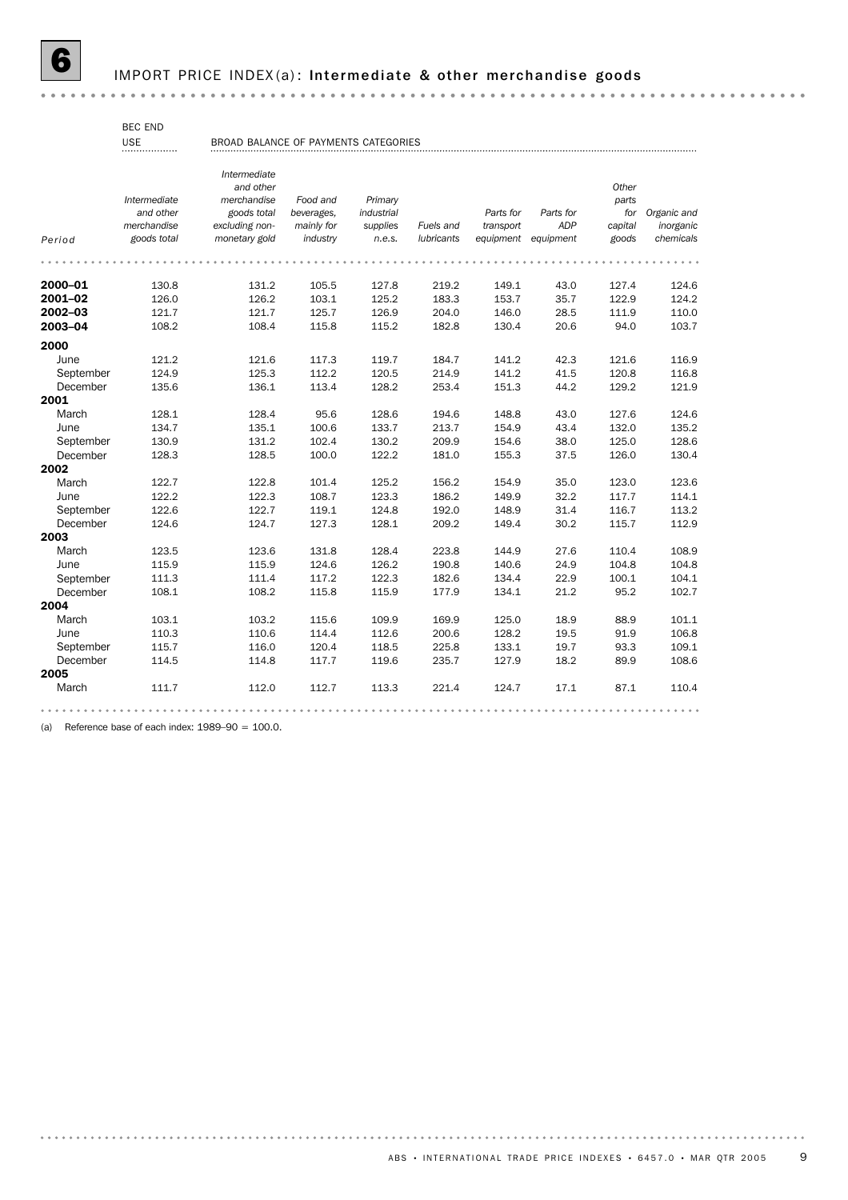## IMPORT PRICE INDEX(a): Intermediate & other merchandise goods

BEC END

| <b>BROAD BALAN</b> |  |
|--------------------|--|
|                    |  |

USE BROAD BALANCE OF PAYMENTS CATEGORIES

|           |              | Intermediate<br>and other |            |            |            |           |            | Other   |             |
|-----------|--------------|---------------------------|------------|------------|------------|-----------|------------|---------|-------------|
|           | Intermediate | merchandise               | Food and   | Primary    |            |           |            | parts   |             |
|           | and other    | goods total               | beverages. | industrial |            | Parts for | Parts for  | for     | Organic and |
|           | merchandise  | excluding non-            | mainly for | supplies   | Fuels and  | transport | <b>ADP</b> | capital | inorganic   |
| Period    | goods total  | monetary gold             | industry   | n.e.s.     | lubricants | equipment | equipment  | goods   | chemicals   |
|           |              |                           |            |            |            |           |            |         |             |
| 2000-01   | 130.8        | 131.2                     | 105.5      | 127.8      | 219.2      | 149.1     | 43.0       | 127.4   | 124.6       |
| 2001-02   | 126.0        | 126.2                     | 103.1      | 125.2      | 183.3      | 153.7     | 35.7       | 122.9   | 124.2       |
| 2002-03   | 121.7        | 121.7                     | 125.7      | 126.9      | 204.0      | 146.0     | 28.5       | 111.9   | 110.0       |
| 2003-04   | 108.2        | 108.4                     | 115.8      | 115.2      | 182.8      | 130.4     | 20.6       | 94.0    | 103.7       |
| 2000      |              |                           |            |            |            |           |            |         |             |
| June      | 121.2        | 121.6                     | 117.3      | 119.7      | 184.7      | 141.2     | 42.3       | 121.6   | 116.9       |
| September | 124.9        | 125.3                     | 112.2      | 120.5      | 214.9      | 141.2     | 41.5       | 120.8   | 116.8       |
| December  | 135.6        | 136.1                     | 113.4      | 128.2      | 253.4      | 151.3     | 44.2       | 129.2   | 121.9       |
| 2001      |              |                           |            |            |            |           |            |         |             |
| March     | 128.1        | 128.4                     | 95.6       | 128.6      | 194.6      | 148.8     | 43.0       | 127.6   | 124.6       |
| June      | 134.7        | 135.1                     | 100.6      | 133.7      | 213.7      | 154.9     | 43.4       | 132.0   | 135.2       |
| September | 130.9        | 131.2                     | 102.4      | 130.2      | 209.9      | 154.6     | 38.0       | 125.0   | 128.6       |
| December  | 128.3        | 128.5                     | 100.0      | 122.2      | 181.0      | 155.3     | 37.5       | 126.0   | 130.4       |
| 2002      |              |                           |            |            |            |           |            |         |             |
| March     | 122.7        | 122.8                     | 101.4      | 125.2      | 156.2      | 154.9     | 35.0       | 123.0   | 123.6       |
| June      | 122.2        | 122.3                     | 108.7      | 123.3      | 186.2      | 149.9     | 32.2       | 117.7   | 114.1       |
| September | 122.6        | 122.7                     | 119.1      | 124.8      | 192.0      | 148.9     | 31.4       | 116.7   | 113.2       |
| December  | 124.6        | 124.7                     | 127.3      | 128.1      | 209.2      | 149.4     | 30.2       | 115.7   | 112.9       |
| 2003      |              |                           |            |            |            |           |            |         |             |
| March     | 123.5        | 123.6                     | 131.8      | 128.4      | 223.8      | 144.9     | 27.6       | 110.4   | 108.9       |
| June      | 115.9        | 115.9                     | 124.6      | 126.2      | 190.8      | 140.6     | 24.9       | 104.8   | 104.8       |
| September | 111.3        | 111.4                     | 117.2      | 122.3      | 182.6      | 134.4     | 22.9       | 100.1   | 104.1       |
| December  | 108.1        | 108.2                     | 115.8      | 115.9      | 177.9      | 134.1     | 21.2       | 95.2    | 102.7       |
| 2004      |              |                           |            |            |            |           |            |         |             |
| March     | 103.1        | 103.2                     | 115.6      | 109.9      | 169.9      | 125.0     | 18.9       | 88.9    | 101.1       |
| June      | 110.3        | 110.6                     | 114.4      | 112.6      | 200.6      | 128.2     | 19.5       | 91.9    | 106.8       |
| September | 115.7        | 116.0                     | 120.4      | 118.5      | 225.8      | 133.1     | 19.7       | 93.3    | 109.1       |
| December  | 114.5        | 114.8                     | 117.7      | 119.6      | 235.7      | 127.9     | 18.2       | 89.9    | 108.6       |
| 2005      |              |                           |            |            |            |           |            |         |             |
| March     | 111.7        | 112.0                     | 112.7      | 113.3      | 221.4      | 124.7     | 17.1       | 87.1    | 110.4       |
|           |              |                           |            |            |            |           |            |         |             |

(a) Reference base of each index:  $1989-90 = 100.0$ .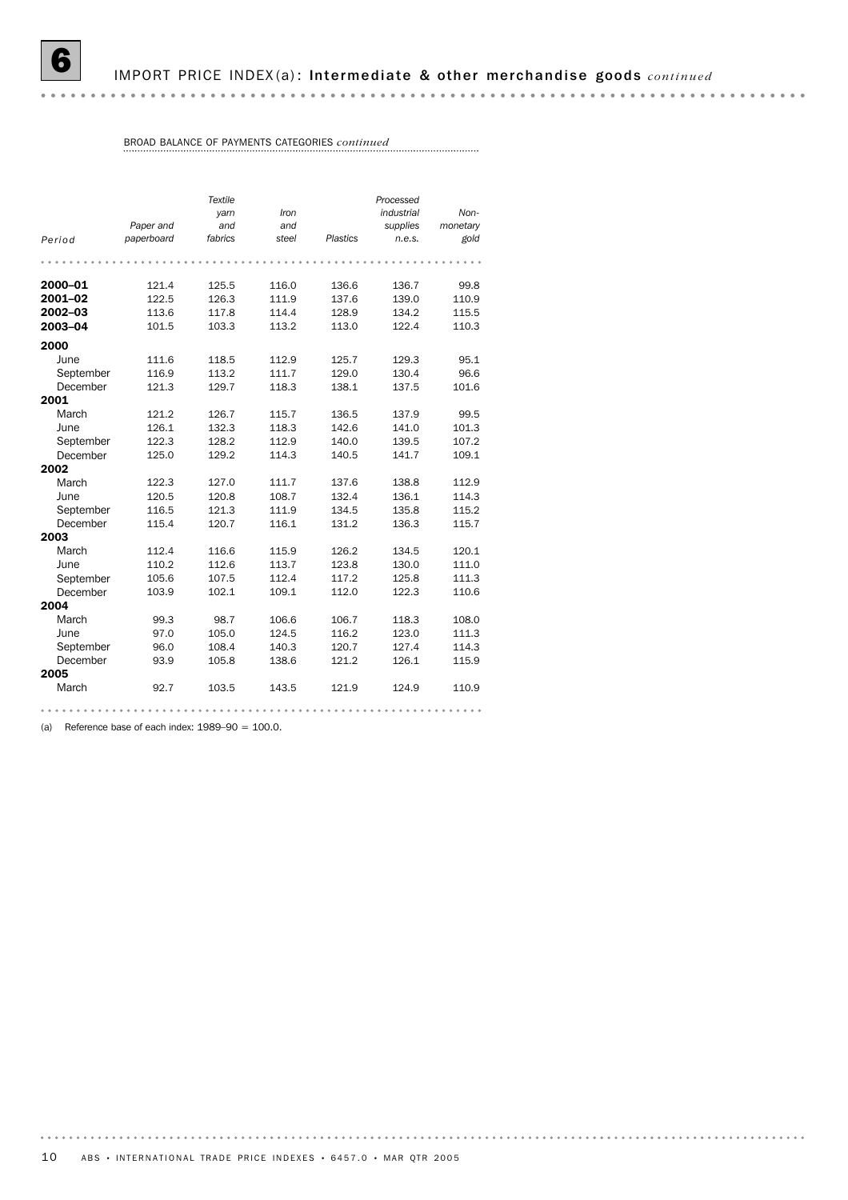### BROAD BALANCE OF PAYMENTS CATEGORIES *continued*

|           |            | Textile |       |                 | Processed  |          |
|-----------|------------|---------|-------|-----------------|------------|----------|
|           |            | yam     | Iron  |                 | industrial | Non-     |
|           | Paper and  | and     | and   |                 | supplies   | monetary |
| Period    | paperboard | fabrics | steel | <b>Plastics</b> | n.e.s.     | gold     |
|           |            |         |       |                 |            |          |
|           |            |         |       |                 |            |          |
| 2000-01   | 121.4      | 125.5   | 116.0 | 136.6           | 136.7      | 99.8     |
| 2001-02   | 122.5      | 126.3   | 111.9 | 137.6           | 139.0      | 110.9    |
| 2002-03   | 113.6      | 117.8   | 114.4 | 128.9           | 134.2      | 115.5    |
| 2003-04   | 101.5      | 103.3   | 113.2 | 113.0           | 122.4      | 110.3    |
| 2000      |            |         |       |                 |            |          |
| June      | 111.6      | 118.5   | 112.9 | 125.7           | 129.3      | 95.1     |
| September | 116.9      | 113.2   | 111.7 | 129.0           | 130.4      | 96.6     |
| December  | 121.3      | 129.7   | 118.3 | 138.1           | 137.5      | 101.6    |
| 2001      |            |         |       |                 |            |          |
| March     | 121.2      | 126.7   | 115.7 | 136.5           | 137.9      | 99.5     |
| June      | 126.1      | 132.3   | 118.3 | 142.6           | 141.0      | 101.3    |
| September | 122.3      | 128.2   | 112.9 | 140.0           | 139.5      | 107.2    |
| December  | 125.0      | 129.2   | 114.3 | 140.5           | 141.7      | 109.1    |
| 2002      |            |         |       |                 |            |          |
| March     | 122.3      | 127.0   | 111.7 | 137.6           | 138.8      | 112.9    |
| June      | 120.5      | 120.8   | 108.7 | 132.4           | 136.1      | 114.3    |
| September | 116.5      | 121.3   | 111.9 | 134.5           | 135.8      | 115.2    |
| December  | 115.4      | 120.7   | 116.1 | 131.2           | 136.3      | 115.7    |
| 2003      |            |         |       |                 |            |          |
| March     | 112.4      | 116.6   | 115.9 | 126.2           | 134.5      | 120.1    |
| June      | 110.2      | 112.6   | 113.7 | 123.8           | 130.0      | 111.0    |
| September | 105.6      | 107.5   | 112.4 | 117.2           | 125.8      | 111.3    |
| December  | 103.9      | 102.1   | 109.1 | 112.0           | 122.3      | 110.6    |
| 2004      |            |         |       |                 |            |          |
| March     | 99.3       | 98.7    | 106.6 | 106.7           | 118.3      | 108.0    |
| June      | 97.0       | 105.0   | 124.5 | 116.2           | 123.0      | 111.3    |
| September | 96.0       | 108.4   | 140.3 | 120.7           | 127.4      | 114.3    |
| December  | 93.9       | 105.8   | 138.6 | 121.2           | 126.1      | 115.9    |
| 2005      |            |         |       |                 |            |          |
| March     | 92.7       | 103.5   | 143.5 | 121.9           | 124.9      | 110.9    |
|           |            |         |       |                 |            |          |

(a) Reference base of each index:  $1989-90 = 100.0$ .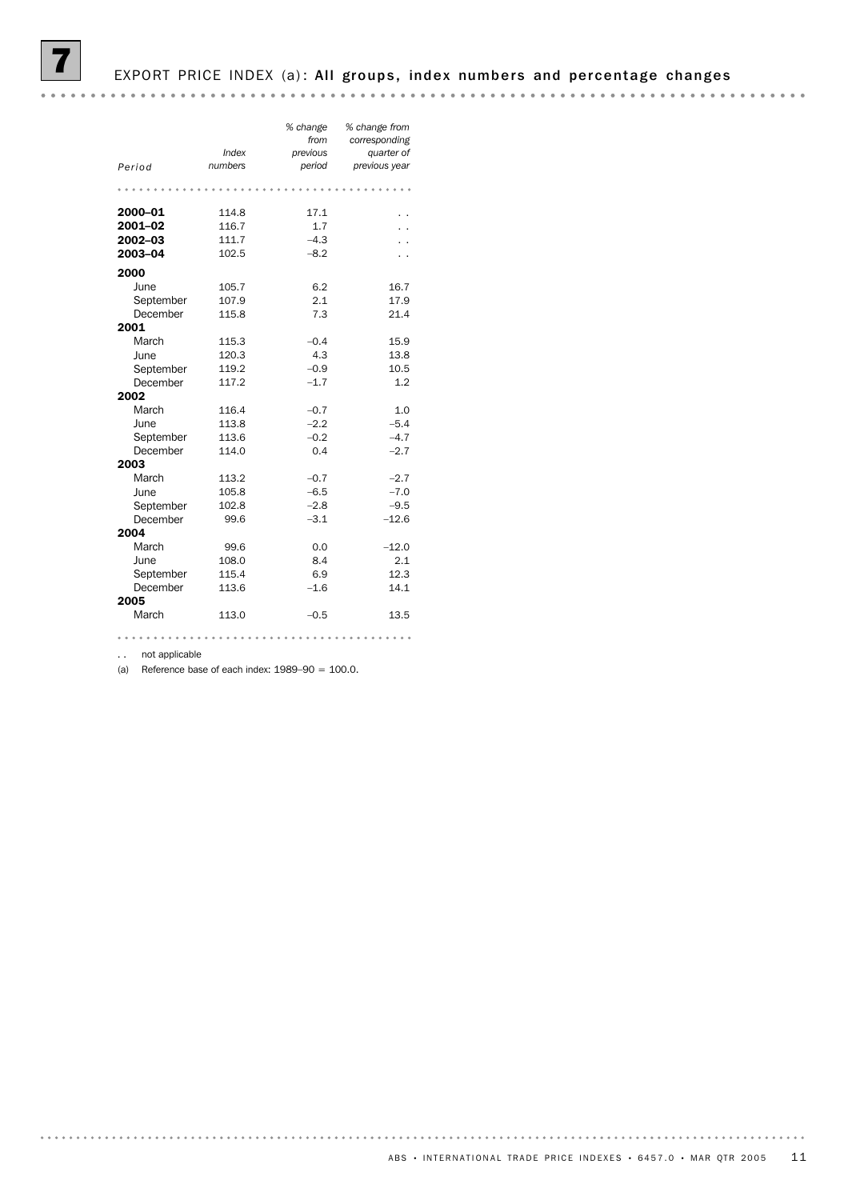# EXPORT PRICE INDEX (a): All groups, index numbers and percentage changes

| Period                                                                                                                                            | Index<br>numbers                                                                                | % change<br>from<br>previous<br>period                                                      | % change from<br>corresponding<br>quarter of<br>previous year                            |
|---------------------------------------------------------------------------------------------------------------------------------------------------|-------------------------------------------------------------------------------------------------|---------------------------------------------------------------------------------------------|------------------------------------------------------------------------------------------|
|                                                                                                                                                   |                                                                                                 |                                                                                             |                                                                                          |
| 2000-01<br>2001-02<br>2002-03<br>2003-04                                                                                                          | 114.8<br>116.7<br>111.7<br>102.5                                                                | 17.1<br>1.7<br>$-4.3$<br>$-8.2$                                                             |                                                                                          |
| 2000<br>June<br>September<br>December<br>2001<br>March<br>June<br>September<br>December<br>2002<br>March<br>June<br>September<br>December<br>2003 | 105.7<br>107.9<br>115.8<br>115.3<br>120.3<br>119.2<br>117.2<br>116.4<br>113.8<br>113.6<br>114.0 | 6.2<br>2.1<br>7.3<br>$-0.4$<br>4.3<br>$-0.9$<br>$-1.7$<br>$-0.7$<br>$-2.2$<br>$-0.2$<br>0.4 | 16.7<br>17.9<br>21.4<br>15.9<br>13.8<br>10.5<br>1.2<br>1.0<br>$-5.4$<br>$-4.7$<br>$-2.7$ |
| March<br>June<br>September<br>December<br>2004<br>March<br>June<br>September<br>December<br>2005                                                  | 113.2<br>105.8<br>102.8<br>99.6<br>99.6<br>108.0<br>115.4<br>113.6                              | $-0.7$<br>$-6.5$<br>$-2.8$<br>$-3.1$<br>0.0<br>8.4<br>6.9<br>$-1.6$                         | $-2.7$<br>$-7.0$<br>$-9.5$<br>$-12.6$<br>$-12.0$<br>2.1<br>12.3<br>14.1                  |
| March                                                                                                                                             | 113.0                                                                                           | $-0.5$                                                                                      | 13.5                                                                                     |
|                                                                                                                                                   |                                                                                                 |                                                                                             |                                                                                          |

.. not applicable

(a) Reference base of each index:  $1989-90 = 100.0$ .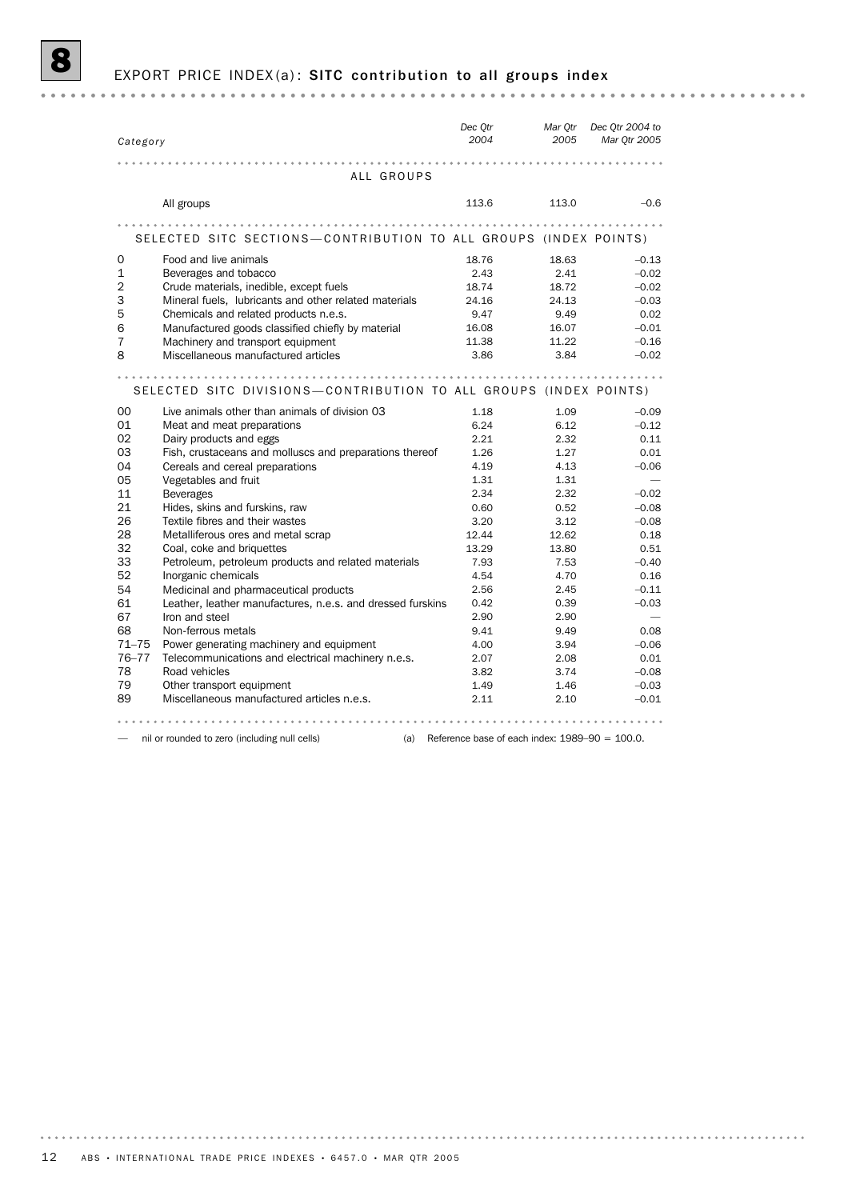#### EXPORT PRICE INDEX(a): SITC contribution to all groups index

*Dec Qtr Dec Qtr 2004 to Mar Qtr Category 2004 Mar Qtr 2005 2005* ALL GROUPS All groups 213.6 113.0 – 0.6 and 113.0 – 0.6 and 113.0 – 0.6 and 113.0 – 0.6 and 113.0 – 0.6 and 113.0 – 0.6 and 113.0 – 0.6 and 113.0 – 0.6 and 113.0 – 0.6 and 113.0 – 0.6 and 113.0 – 0.6 and 113.0 – 0.6 and 113.0 – 0.6 a SELECTED SITC SECTIONS-CONTRIBUTION TO ALL GROUPS (INDEX POINTS) 0 Food and live animals 18.76 18.63 –0.13 1 Beverages and tobacco 2.43 2.41 –0.02 2 Crude materials, inedible, except fuels 18.74 18.72 –0.02 3 Mineral fuels, lubricants and other related materials 24.16 24.13 –0.03 6 Manufactured goods classified chiefly by material 16.08 16.07 –0.01 5 Chemicals and related products n.e.s. 9.47 9.49 0.02 7 Machinery and transport equipment 11.38 11.22 -0.16 8 Miscellaneous manufactured articles 3.86 3.84 –0.02 SELECTED SITC DIVISIONS-CONTRIBUTION TO ALL GROUPS (INDEX POINTS) 00 Live animals other than animals of division 03 1.18 1.09 -0.09 -0.09 01 Meat and meat preparations 6.24 6.12 – 0.12 02 Dairy products and eggs 2.21 2.32 0.11 03 Fish, crustaceans and molluscs and preparations thereof 1.26 1.27 0.01 04 Cereals and cereal preparations  $4.19$   $4.13$   $4.13$   $-0.06$ 05 Vegetables and fruit 1.31 1.31 1.31 1.31 11 Beverages 2.34 2.32 –0.02 21 Hides, skins and furskins, raw 0.60 0.52 –0.08 26 Textile fibres and their wastes 3.20 3.12 –0.08 28 Metalliferous ores and metal scrap 12.44 12.62 0.18 32 Coal, coke and briquettes 13.29 13.80 0.51 33 Petroleum, petroleum products and related materials 7.93 7.53 –0.40 52 Inorganic chemicals 4.54 4.70 0.16 54 Medicinal and pharmaceutical products 2.56 2.45 –0.11 61 Leather, leather manufactures, n.e.s. and dressed furskins 0.42 0.39 –0.03 67 Iron and steel 2.90 2.90 68 Non-ferrous metals 9.41 9.49 0.08 71–75 Power generating machinery and equipment 4.00 3.94 –0.06 76–77 Telecommunications and electrical machinery n.e.s. 2.07 2.08 0.01 78 Road vehicles 3.82 3.74 –0.08 79 Other transport equipment 1.49 1.49 1.46 –0.03 89 Miscellaneous manufactured articles n.e.s. 2.11 2.10 –0.01

— nil or rounded to zero (including null cells) (a) Reference base of each index: 1989-90 = 100.0.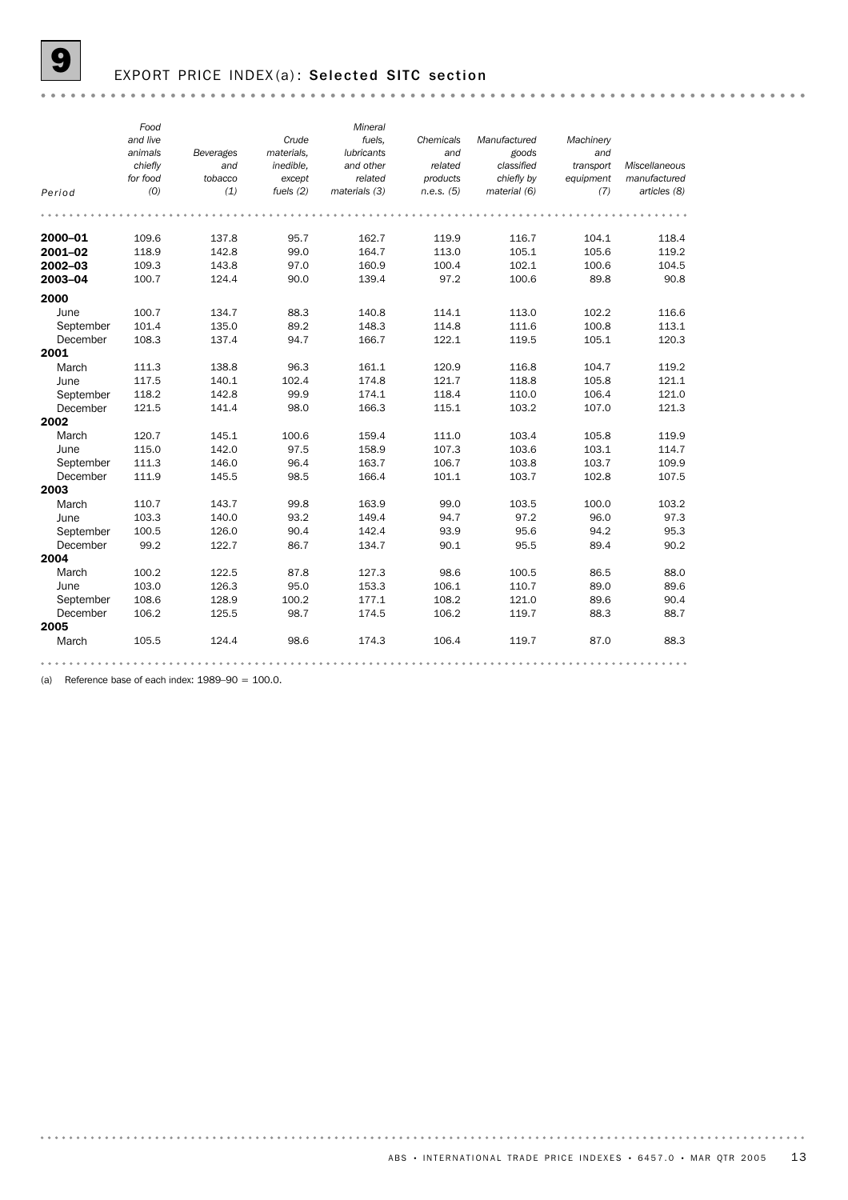### EXPORT PRICE INDEX(a): Selected SITC section

|           | Food     |           |             | Mineral           |            |              |           |               |
|-----------|----------|-----------|-------------|-------------------|------------|--------------|-----------|---------------|
|           | and live |           | Crude       | fuels,            | Chemicals  | Manufactured | Machinery |               |
|           | animals  | Beverages | materials.  | <b>lubricants</b> | and        | goods        | and       |               |
|           | chiefly  | and       | inedible.   | and other         | related    | classified   | transport | Miscellaneous |
|           | for food | tobacco   | except      | related           | products   | chiefly by   | equipment | manufactured  |
| Period    | (0)      | (1)       | fuels $(2)$ | materials (3)     | n.e.s. (5) | material (6) | (7)       | articles (8)  |
|           |          |           |             |                   |            |              |           |               |
| 2000-01   | 109.6    | 137.8     | 95.7        | 162.7             | 119.9      | 116.7        | 104.1     | 118.4         |
| 2001-02   | 118.9    | 142.8     | 99.0        | 164.7             | 113.0      | 105.1        | 105.6     | 119.2         |
| 2002-03   | 109.3    | 143.8     | 97.0        | 160.9             | 100.4      | 102.1        | 100.6     | 104.5         |
| 2003-04   | 100.7    | 124.4     | 90.0        | 139.4             | 97.2       | 100.6        | 89.8      | 90.8          |
| 2000      |          |           |             |                   |            |              |           |               |
| June      | 100.7    | 134.7     | 88.3        | 140.8             | 114.1      | 113.0        | 102.2     | 116.6         |
| September | 101.4    | 135.0     | 89.2        | 148.3             | 114.8      | 111.6        | 100.8     | 113.1         |
| December  | 108.3    | 137.4     | 94.7        | 166.7             | 122.1      | 119.5        | 105.1     | 120.3         |
| 2001      |          |           |             |                   |            |              |           |               |
| March     | 111.3    | 138.8     | 96.3        | 161.1             | 120.9      | 116.8        | 104.7     | 119.2         |
| June      | 117.5    | 140.1     | 102.4       | 174.8             | 121.7      | 118.8        | 105.8     | 121.1         |
| September | 118.2    | 142.8     | 99.9        | 174.1             | 118.4      | 110.0        | 106.4     | 121.0         |
| December  | 121.5    | 141.4     | 98.0        | 166.3             | 115.1      | 103.2        | 107.0     | 121.3         |
| 2002      |          |           |             |                   |            |              |           |               |
| March     | 120.7    | 145.1     | 100.6       | 159.4             | 111.0      | 103.4        | 105.8     | 119.9         |
| June      | 115.0    | 142.0     | 97.5        | 158.9             | 107.3      | 103.6        | 103.1     | 114.7         |
| September | 111.3    | 146.0     | 96.4        | 163.7             | 106.7      | 103.8        | 103.7     | 109.9         |
| December  | 111.9    | 145.5     | 98.5        | 166.4             | 101.1      | 103.7        | 102.8     | 107.5         |
| 2003      |          |           |             |                   |            |              |           |               |
| March     | 110.7    | 143.7     | 99.8        | 163.9             | 99.0       | 103.5        | 100.0     | 103.2         |
| June      | 103.3    | 140.0     | 93.2        | 149.4             | 94.7       | 97.2         | 96.0      | 97.3          |
| September | 100.5    | 126.0     | 90.4        | 142.4             | 93.9       | 95.6         | 94.2      | 95.3          |
| December  | 99.2     | 122.7     | 86.7        | 134.7             | 90.1       | 95.5         | 89.4      | 90.2          |
| 2004      |          |           |             |                   |            |              |           |               |
| March     | 100.2    | 122.5     | 87.8        | 127.3             | 98.6       | 100.5        | 86.5      | 88.0          |
| June      | 103.0    | 126.3     | 95.0        | 153.3             | 106.1      | 110.7        | 89.0      | 89.6          |
| September | 108.6    | 128.9     | 100.2       | 177.1             | 108.2      | 121.0        | 89.6      | 90.4          |
| December  | 106.2    | 125.5     | 98.7        | 174.5             | 106.2      | 119.7        | 88.3      | 88.7          |
| 2005      |          |           |             |                   |            |              |           |               |
| March     | 105.5    | 124.4     | 98.6        | 174.3             | 106.4      | 119.7        | 87.0      | 88.3          |
|           |          |           |             |                   |            |              |           |               |

(a) Reference base of each index:  $1989-90 = 100.0$ .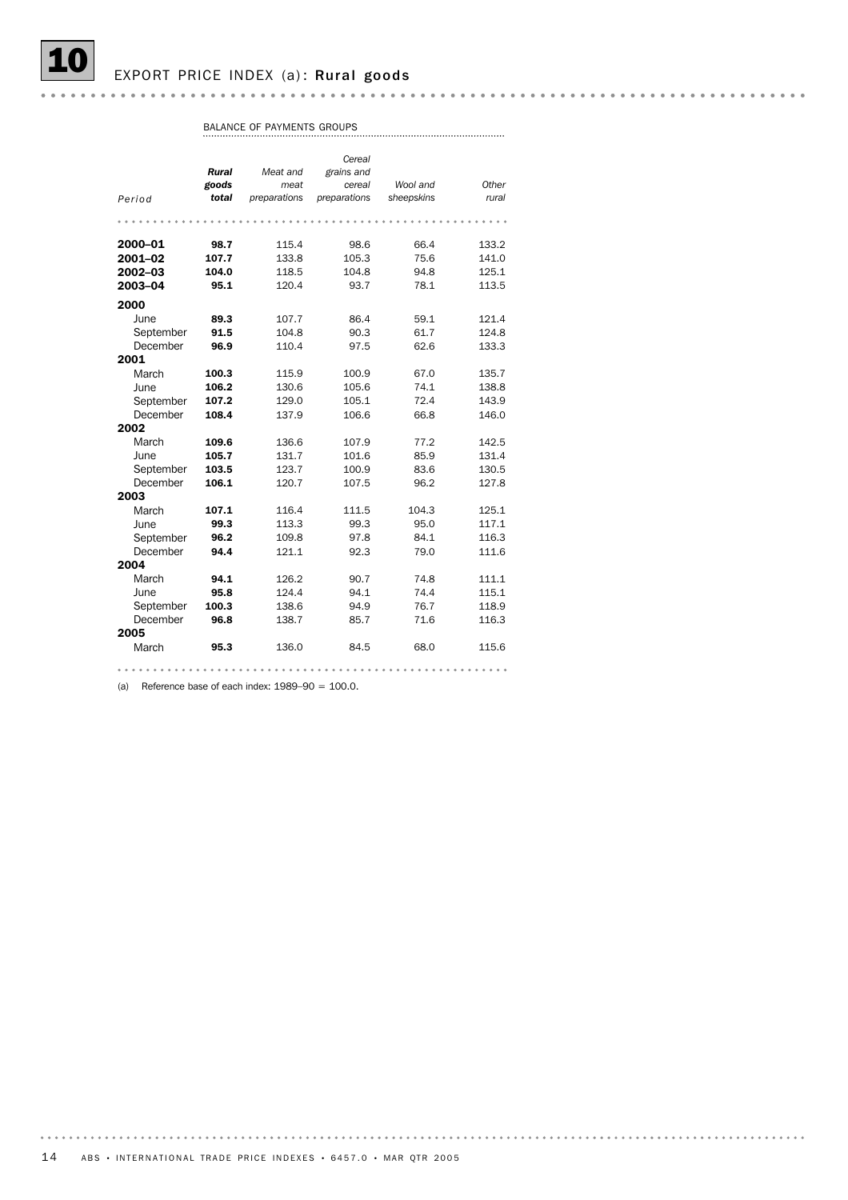EXPORT PRICE INDEX (a): Rural goods

*Cereal Rural Meat and grains and goods meat cereal Wool and Other sheepskins Period total rural preparations preparations* 2000–01 98.7 115.4 98.6 66.4 133.2 **2001–02 107.7** 133.8 105.3 75.6 141.0 2002–03 104.0 118.5 104.8 94.8 125.1 **2003–04 95.1** 120.4 93.7 78.1 113.5 2000 June **89.3** 107.7 86.4 59.1 121.4 September **91.5** 104.8 90.3 61.7 124.8 December **96.9** 110.4 97.5 62.6 133.3 2001 March **100.3** 115.9 100.9 67.0 135.7 June **106.2** 130.6 105.6 74.1 138.8 September **107.2** 129.0 105.1 72.4 143.9 December **108.4** 137.9 106.6 66.8 146.0 2002 March **109.6** 136.6 107.9 77.2 142.5 June **105.7** 131.7 101.6 85.9 131.4 September **103.5** 123.7 100.9 83.6 130.5 December **106.1** 120.7 107.5 96.2 127.8 2003 March **107.1** 116.4 111.5 104.3 125.1 June **99.3** 113.3 99.3 95.0 117.1 September **96.2** 109.8 97.8 84.1 116.3 December **94.4** 121.1 92.3 79.0 111.6 2004 March **94.1** 126.2 90.7 74.8 111.1<br>
June **95.8** 124.4 94.1 74.4 115.1 June **95.8** 124.4 94.1 74.4 115.1 September 100.3 138.6 94.9 76.7 118.9<br>December 96.8 138.7 85.7 71.6 116.3 September **100.3** 138.6 94.9 76.7 118.9 2005 March **95.3** 136.0 84.5 68.0 115.6 

(a) Reference base of each index:  $1989-90 = 100.0$ .

BALANCE OF PAYMENTS GROUPS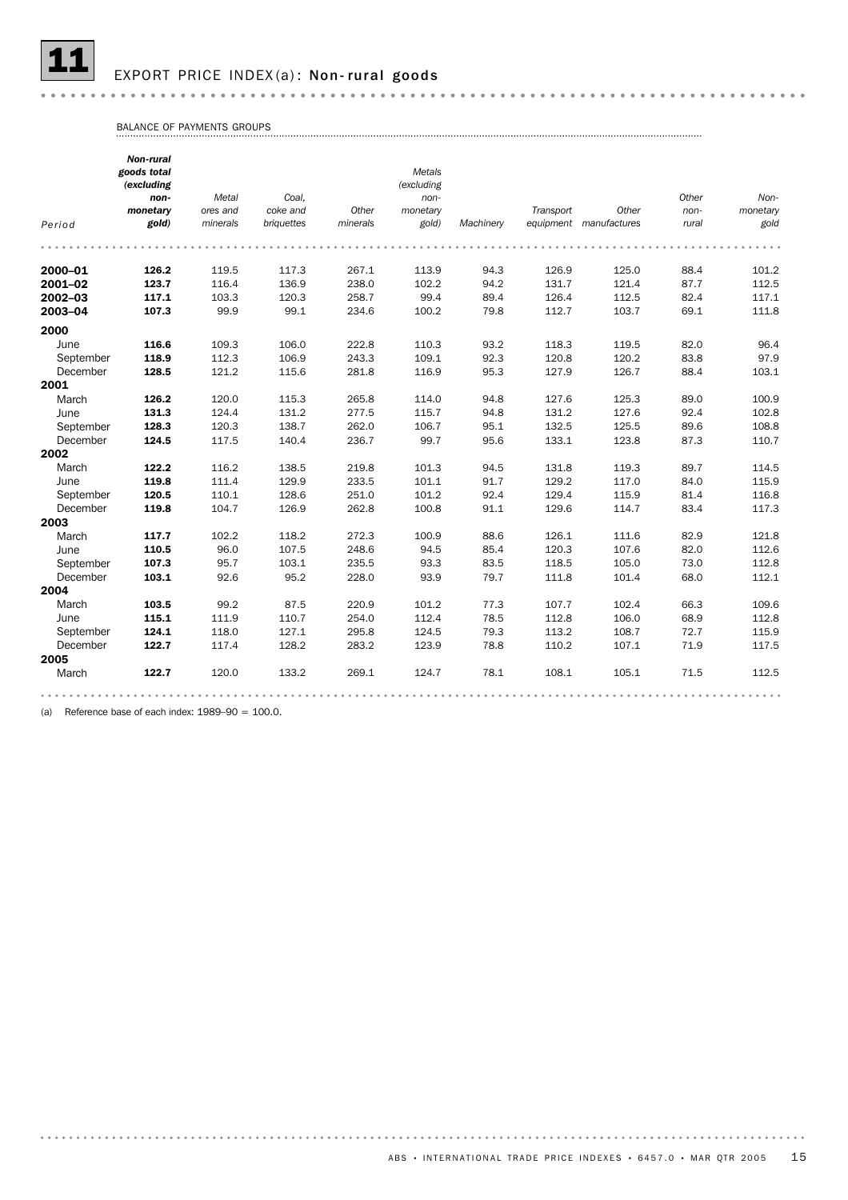

#### EXPORT PRICE INDEX(a): Non-rural goods

BALANCE OF PAYMENTS GROUPS

|           | Non-rural<br>goods total<br>(excluding |          |            |          | Metals<br>(excluding |           |           |                        |       |          |
|-----------|----------------------------------------|----------|------------|----------|----------------------|-----------|-----------|------------------------|-------|----------|
|           | non-                                   | Metal    | Coal.      |          | $non-$               |           |           |                        | Other | Non-     |
|           | monetary                               | ores and | coke and   | Other    | monetary             |           | Transport | Other                  | non-  | monetary |
| Period    | gold)                                  | minerals | briquettes | minerals | gold)                | Machinery |           | equipment manufactures | rural | gold     |
|           |                                        |          |            |          |                      |           |           |                        |       |          |
| 2000-01   | 126.2                                  | 119.5    | 117.3      | 267.1    | 113.9                | 94.3      | 126.9     | 125.0                  | 88.4  | 101.2    |
| 2001-02   | 123.7                                  | 116.4    | 136.9      | 238.0    | 102.2                | 94.2      | 131.7     | 121.4                  | 87.7  | 112.5    |
| 2002-03   | 117.1                                  | 103.3    | 120.3      | 258.7    | 99.4                 | 89.4      | 126.4     | 112.5                  | 82.4  | 117.1    |
| 2003-04   | 107.3                                  | 99.9     | 99.1       | 234.6    | 100.2                | 79.8      | 112.7     | 103.7                  | 69.1  | 111.8    |
| 2000      |                                        |          |            |          |                      |           |           |                        |       |          |
| June      | 116.6                                  | 109.3    | 106.0      | 222.8    | 110.3                | 93.2      | 118.3     | 119.5                  | 82.0  | 96.4     |
| September | 118.9                                  | 112.3    | 106.9      | 243.3    | 109.1                | 92.3      | 120.8     | 120.2                  | 83.8  | 97.9     |
| December  | 128.5                                  | 121.2    | 115.6      | 281.8    | 116.9                | 95.3      | 127.9     | 126.7                  | 88.4  | 103.1    |
| 2001      |                                        |          |            |          |                      |           |           |                        |       |          |
| March     | 126.2                                  | 120.0    | 115.3      | 265.8    | 114.0                | 94.8      | 127.6     | 125.3                  | 89.0  | 100.9    |
| June      | 131.3                                  | 124.4    | 131.2      | 277.5    | 115.7                | 94.8      | 131.2     | 127.6                  | 92.4  | 102.8    |
| September | 128.3                                  | 120.3    | 138.7      | 262.0    | 106.7                | 95.1      | 132.5     | 125.5                  | 89.6  | 108.8    |
| December  | 124.5                                  | 117.5    | 140.4      | 236.7    | 99.7                 | 95.6      | 133.1     | 123.8                  | 87.3  | 110.7    |
| 2002      |                                        |          |            |          |                      |           |           |                        |       |          |
| March     | 122.2                                  | 116.2    | 138.5      | 219.8    | 101.3                | 94.5      | 131.8     | 119.3                  | 89.7  | 114.5    |
| June      | 119.8                                  | 111.4    | 129.9      | 233.5    | 101.1                | 91.7      | 129.2     | 117.0                  | 84.0  | 115.9    |
| September | 120.5                                  | 110.1    | 128.6      | 251.0    | 101.2                | 92.4      | 129.4     | 115.9                  | 81.4  | 116.8    |
| December  | 119.8                                  | 104.7    | 126.9      | 262.8    | 100.8                | 91.1      | 129.6     | 114.7                  | 83.4  | 117.3    |
| 2003      |                                        |          |            |          |                      |           |           |                        |       |          |
| March     | 117.7                                  | 102.2    | 118.2      | 272.3    | 100.9                | 88.6      | 126.1     | 111.6                  | 82.9  | 121.8    |
| June      | 110.5                                  | 96.0     | 107.5      | 248.6    | 94.5                 | 85.4      | 120.3     | 107.6                  | 82.0  | 112.6    |
| September | 107.3                                  | 95.7     | 103.1      | 235.5    | 93.3                 | 83.5      | 118.5     | 105.0                  | 73.0  | 112.8    |
| December  | 103.1                                  | 92.6     | 95.2       | 228.0    | 93.9                 | 79.7      | 111.8     | 101.4                  | 68.0  | 112.1    |
| 2004      |                                        |          |            |          |                      |           |           |                        |       |          |
| March     | 103.5                                  | 99.2     | 87.5       | 220.9    | 101.2                | 77.3      | 107.7     | 102.4                  | 66.3  | 109.6    |
| June      | 115.1                                  | 111.9    | 110.7      | 254.0    | 112.4                | 78.5      | 112.8     | 106.0                  | 68.9  | 112.8    |
| September | 124.1                                  | 118.0    | 127.1      | 295.8    | 124.5                | 79.3      | 113.2     | 108.7                  | 72.7  | 115.9    |
| December  | 122.7                                  | 117.4    | 128.2      | 283.2    | 123.9                | 78.8      | 110.2     | 107.1                  | 71.9  | 117.5    |
| 2005      |                                        |          |            |          |                      |           |           |                        |       |          |
| March     | 122.7                                  | 120.0    | 133.2      | 269.1    | 124.7                | 78.1      | 108.1     | 105.1                  | 71.5  | 112.5    |
|           |                                        |          |            |          |                      |           |           |                        |       |          |

(a) Reference base of each index:  $1989-90 = 100.0$ .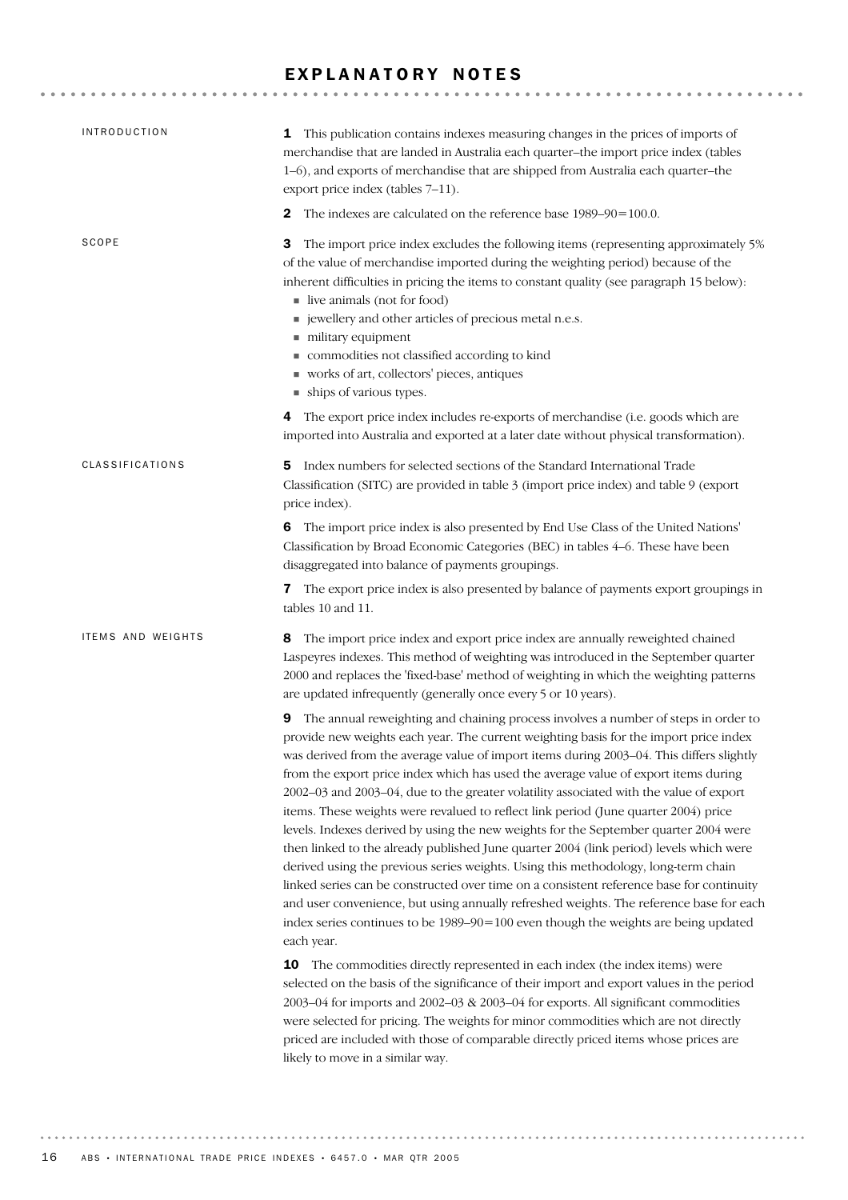### EXPLANATORY NOTES

| <b>INTRODUCTION</b>    | 1 This publication contains indexes measuring changes in the prices of imports of<br>merchandise that are landed in Australia each quarter-the import price index (tables<br>1-6), and exports of merchandise that are shipped from Australia each quarter-the<br>export price index (tables 7-11).                                                                                                                                                                                                                                                                                                                                                                                                                                                                                                                                                                                                                                                                                                                                                                                                                                                                                                          |
|------------------------|--------------------------------------------------------------------------------------------------------------------------------------------------------------------------------------------------------------------------------------------------------------------------------------------------------------------------------------------------------------------------------------------------------------------------------------------------------------------------------------------------------------------------------------------------------------------------------------------------------------------------------------------------------------------------------------------------------------------------------------------------------------------------------------------------------------------------------------------------------------------------------------------------------------------------------------------------------------------------------------------------------------------------------------------------------------------------------------------------------------------------------------------------------------------------------------------------------------|
|                        | The indexes are calculated on the reference base 1989–90=100.0.<br>2                                                                                                                                                                                                                                                                                                                                                                                                                                                                                                                                                                                                                                                                                                                                                                                                                                                                                                                                                                                                                                                                                                                                         |
| SCOPE                  | The import price index excludes the following items (representing approximately 5%<br>З<br>of the value of merchandise imported during the weighting period) because of the<br>inherent difficulties in pricing the items to constant quality (see paragraph 15 below):<br>live animals (not for food)<br>■ jewellery and other articles of precious metal n.e.s.<br>military equipment<br>commodities not classified according to kind<br>vorks of art, collectors' pieces, antiques<br>• ships of various types.                                                                                                                                                                                                                                                                                                                                                                                                                                                                                                                                                                                                                                                                                           |
|                        | 4 The export price index includes re-exports of merchandise (i.e. goods which are<br>imported into Australia and exported at a later date without physical transformation).                                                                                                                                                                                                                                                                                                                                                                                                                                                                                                                                                                                                                                                                                                                                                                                                                                                                                                                                                                                                                                  |
| <b>CLASSIFICATIONS</b> | Index numbers for selected sections of the Standard International Trade<br>5.<br>Classification (SITC) are provided in table 3 (import price index) and table 9 (export<br>price index).                                                                                                                                                                                                                                                                                                                                                                                                                                                                                                                                                                                                                                                                                                                                                                                                                                                                                                                                                                                                                     |
|                        | The import price index is also presented by End Use Class of the United Nations'<br>6<br>Classification by Broad Economic Categories (BEC) in tables 4-6. These have been<br>disaggregated into balance of payments groupings.                                                                                                                                                                                                                                                                                                                                                                                                                                                                                                                                                                                                                                                                                                                                                                                                                                                                                                                                                                               |
|                        | <b>7</b> The export price index is also presented by balance of payments export groupings in<br>tables 10 and 11.                                                                                                                                                                                                                                                                                                                                                                                                                                                                                                                                                                                                                                                                                                                                                                                                                                                                                                                                                                                                                                                                                            |
| ITEMS AND WEIGHTS      | The import price index and export price index are annually reweighted chained<br>8<br>Laspeyres indexes. This method of weighting was introduced in the September quarter<br>2000 and replaces the 'fixed-base' method of weighting in which the weighting patterns<br>are updated infrequently (generally once every 5 or 10 years).                                                                                                                                                                                                                                                                                                                                                                                                                                                                                                                                                                                                                                                                                                                                                                                                                                                                        |
|                        | The annual reweighting and chaining process involves a number of steps in order to<br>9<br>provide new weights each year. The current weighting basis for the import price index<br>was derived from the average value of import items during 2003-04. This differs slightly<br>from the export price index which has used the average value of export items during<br>2002-03 and 2003-04, due to the greater volatility associated with the value of export<br>items. These weights were revalued to reflect link period (June quarter 2004) price<br>levels. Indexes derived by using the new weights for the September quarter 2004 were<br>then linked to the already published June quarter 2004 (link period) levels which were<br>derived using the previous series weights. Using this methodology, long-term chain<br>linked series can be constructed over time on a consistent reference base for continuity<br>and user convenience, but using annually refreshed weights. The reference base for each<br>index series continues to be $1989-90=100$ even though the weights are being updated<br>each year.<br>The commodities directly represented in each index (the index items) were<br>10 |
|                        | selected on the basis of the significance of their import and export values in the period<br>2003-04 for imports and 2002-03 & 2003-04 for exports. All significant commodities<br>were selected for pricing. The weights for minor commodities which are not directly<br>priced are included with those of comparable directly priced items whose prices are<br>likely to move in a similar way.                                                                                                                                                                                                                                                                                                                                                                                                                                                                                                                                                                                                                                                                                                                                                                                                            |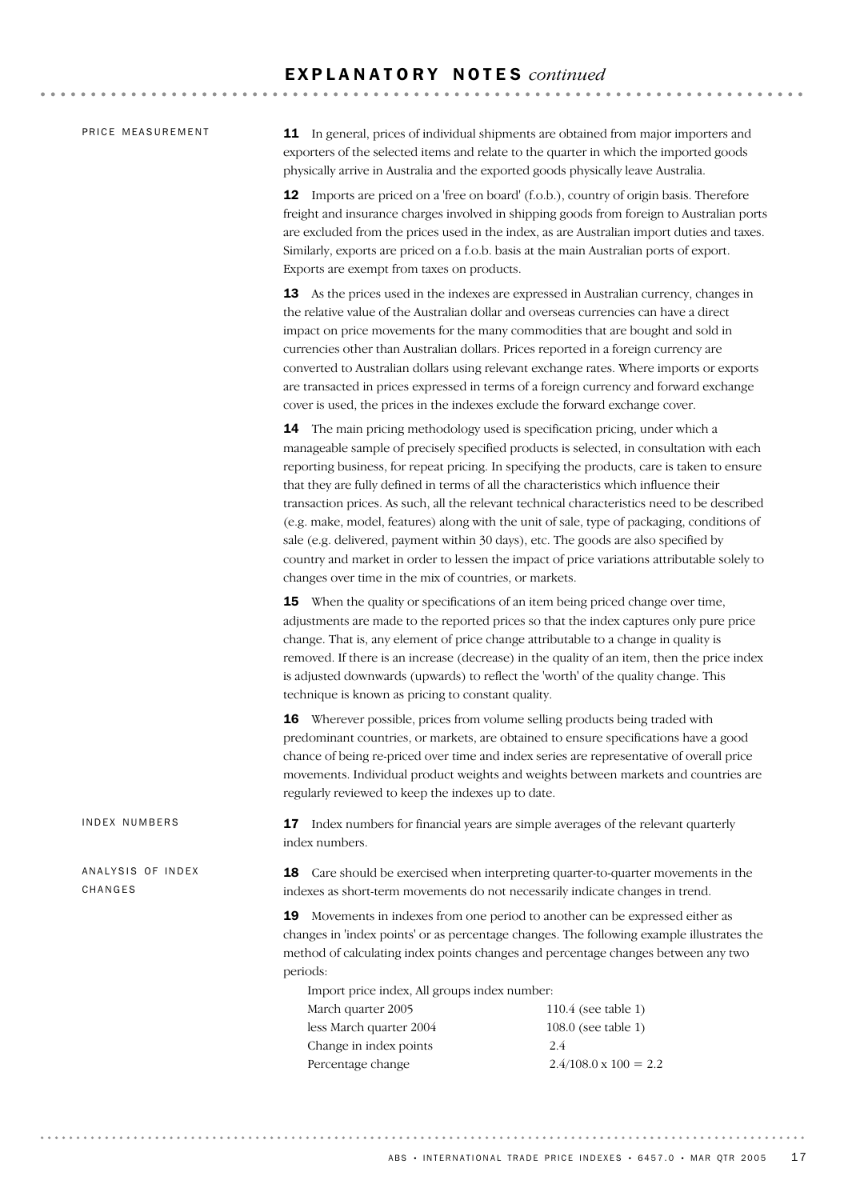#### E X P L A N A T O R Y N O T E S *continued*

PRICE MEASUREMENT

ANALYSIS OF INDEX

IN DEX NUMBERS

**CHANGES** 

11 In general, prices of individual shipments are obtained from major importers and exporters of the selected items and relate to the quarter in which the imported goods physically arrive in Australia and the exported goods physically leave Australia.

12 Imports are priced on a 'free on board' (f.o.b.), country of origin basis. Therefore freight and insurance charges involved in shipping goods from foreign to Australian ports are excluded from the prices used in the index, as are Australian import duties and taxes. Similarly, exports are priced on a f.o.b. basis at the main Australian ports of export. Exports are exempt from taxes on products.

13 As the prices used in the indexes are expressed in Australian currency, changes in the relative value of the Australian dollar and overseas currencies can have a direct impact on price movements for the many commodities that are bought and sold in currencies other than Australian dollars. Prices reported in a foreign currency are converted to Australian dollars using relevant exchange rates. Where imports or exports are transacted in prices expressed in terms of a foreign currency and forward exchange cover is used, the prices in the indexes exclude the forward exchange cover.

14 The main pricing methodology used is specification pricing, under which a manageable sample of precisely specified products is selected, in consultation with each reporting business, for repeat pricing. In specifying the products, care is taken to ensure that they are fully defined in terms of all the characteristics which influence their transaction prices. As such, all the relevant technical characteristics need to be described (e.g. make, model, features) along with the unit of sale, type of packaging, conditions of sale (e.g. delivered, payment within 30 days), etc. The goods are also specified by country and market in order to lessen the impact of price variations attributable solely to changes over time in the mix of countries, or markets.

15 When the quality or specifications of an item being priced change over time, adjustments are made to the reported prices so that the index captures only pure price change. That is, any element of price change attributable to a change in quality is removed. If there is an increase (decrease) in the quality of an item, then the price index is adjusted downwards (upwards) to reflect the 'worth' of the quality change. This technique is known as pricing to constant quality.

16 Wherever possible, prices from volume selling products being traded with predominant countries, or markets, are obtained to ensure specifications have a good chance of being re-priced over time and index series are representative of overall price movements. Individual product weights and weights between markets and countries are regularly reviewed to keep the indexes up to date.

17 Index numbers for financial years are simple averages of the relevant quarterly index numbers.

18 Care should be exercised when interpreting quarter-to-quarter movements in the indexes as short-term movements do not necessarily indicate changes in trend.

19 Movements in indexes from one period to another can be expressed either as changes in 'index points' or as percentage changes. The following example illustrates the method of calculating index points changes and percentage changes between any two periods:

Import price index, All groups index number: March quarter 2005 110.4 (see table 1) less March quarter 2004 108.0 (see table 1) Change in index points 2.4 Percentage change  $2.4/108.0 \times 100 = 2.2$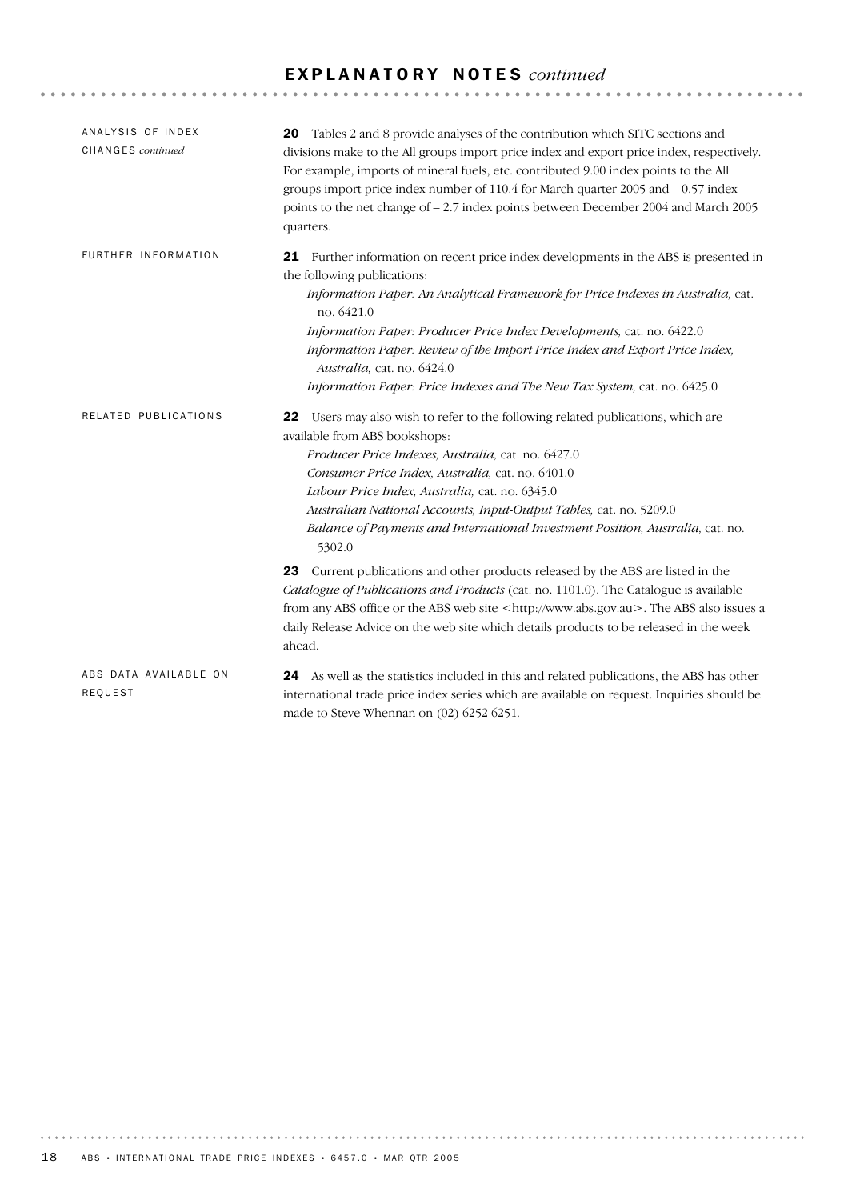## E X P L A N A T O R Y N O T E S *continued*

| ANALYSIS OF INDEX<br>CHANGES continued | 20 Tables 2 and 8 provide analyses of the contribution which SITC sections and<br>divisions make to the All groups import price index and export price index, respectively.<br>For example, imports of mineral fuels, etc. contributed 9.00 index points to the All<br>groups import price index number of 110.4 for March quarter 2005 and - 0.57 index<br>points to the net change of - 2.7 index points between December 2004 and March 2005<br>quarters.                                                                                                                                                                                                                                                                                                                                                                          |
|----------------------------------------|---------------------------------------------------------------------------------------------------------------------------------------------------------------------------------------------------------------------------------------------------------------------------------------------------------------------------------------------------------------------------------------------------------------------------------------------------------------------------------------------------------------------------------------------------------------------------------------------------------------------------------------------------------------------------------------------------------------------------------------------------------------------------------------------------------------------------------------|
| FURTHER INFORMATION                    | <b>21</b> Further information on recent price index developments in the ABS is presented in<br>the following publications:<br>Information Paper: An Analytical Framework for Price Indexes in Australia, cat.<br>no. 6421.0<br><i>Information Paper: Producer Price Index Developments, cat. no.</i> 6422.0<br>Information Paper: Review of the Import Price Index and Export Price Index,<br>Australia, cat. no. 6424.0<br>Information Paper: Price Indexes and The New Tax System, cat. no. 6425.0                                                                                                                                                                                                                                                                                                                                  |
| RELATED PUBLICATIONS                   | 22 Users may also wish to refer to the following related publications, which are<br>available from ABS bookshops:<br>Producer Price Indexes, Australia, cat. no. 6427.0<br>Consumer Price Index, Australia, cat. no. 6401.0<br>Labour Price Index, Australia, cat. no. 6345.0<br>Australian National Accounts, Input-Output Tables, cat. no. 5209.0<br>Balance of Payments and International Investment Position, Australia, cat. no.<br>5302.0<br>23 Current publications and other products released by the ABS are listed in the<br>Catalogue of Publications and Products (cat. no. 1101.0). The Catalogue is available<br>from any ABS office or the ABS web site <http: www.abs.gov.au="">. The ABS also issues a<br/>daily Release Advice on the web site which details products to be released in the week<br/>ahead.</http:> |
| ABS DATA AVAILABLE ON<br>REQUEST       | 24 As well as the statistics included in this and related publications, the ABS has other<br>international trade price index series which are available on request. Inquiries should be<br>made to Steve Whennan on (02) 6252 6251.                                                                                                                                                                                                                                                                                                                                                                                                                                                                                                                                                                                                   |